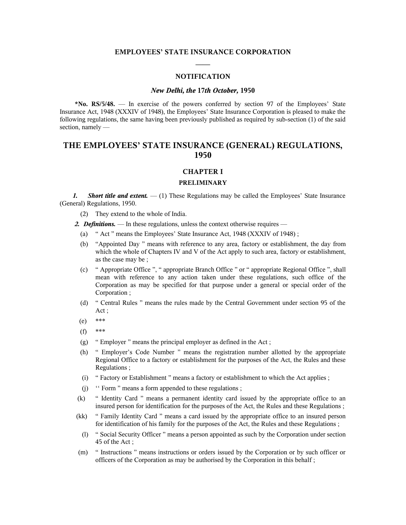# **EMPLOYEES' STATE INSURANCE CORPORATION ——**

#### **NOTIFICATION**

#### *New Delhi, the* **17***th October,* **1950**

**\*No. RS/5/48.** — In exercise of the powers conferred by section 97 of the Employees' State Insurance Act, 1948 (XXXIV of 1948), the Employees' State Insurance Corporation is pleased to make the following regulations, the same having been previously published as required by sub-section (1) of the said section, namely —

# **THE EMPLOYEES' STATE INSURANCE (GENERAL) REGULATIONS, 1950**

### **CHAPTER I**

## **PRELIMINARY**

*1. Short title and extent.* — (1) These Regulations may be called the Employees' State Insurance (General) Regulations, 1950.

(2) They extend to the whole of India.

*2. Definitions.* — In these regulations, unless the context otherwise requires —

- (a) " Act " means the Employees' State Insurance Act, 1948 (XXXIV of 1948) ;
- (b) "Appointed Day " means with reference to any area, factory or establishment, the day from which the whole of Chapters IV and V of the Act apply to such area, factory or establishment, as the case may be ;
- (c) " Appropriate Office ", " appropriate Branch Office " or " appropriate Regional Office ", shall mean with reference to any action taken under these regulations, such office of the Corporation as may be specified for that purpose under a general or special order of the Corporation ;
- (d) " Central Rules " means the rules made by the Central Government under section 95 of the Act ;
- (e) \*\*\*
- (f) \*\*\*
- (g) " Employer " means the principal employer as defined in the Act ;
- (h) " Employer's Code Number " means the registration number allotted by the appropriate Regional Office to a factory or establishment for the purposes of the Act, the Rules and these Regulations ;
- (i) " Factory or Establishment " means a factory or establishment to which the Act applies ;
- (j) '' Form " means a form appended to these regulations ;
- (k) " Identity Card " means a permanent identity card issued by the appropriate office to an insured person for identification for the purposes of the Act, the Rules and these Regulations ;
- (kk) " Family Identity Card " means a card issued by the appropriate office to an insured person for identification of his family for the purposes of the Act, the Rules and these Regulations ;
- (l) " Social Security Officer " means a person appointed as such by the Corporation under section 45 of the Act ;
- (m) " Instructions " means instructions or orders issued by the Corporation or by such officer or officers of the Corporation as may be authorised by the Corporation in this behalf ;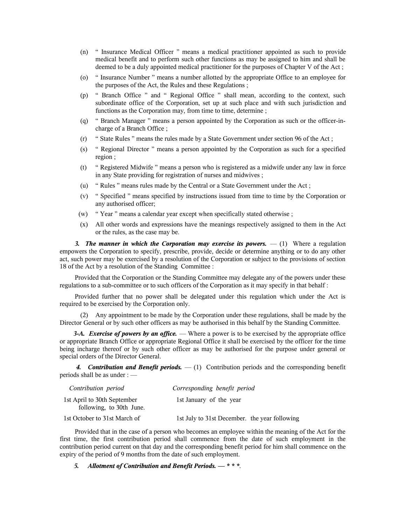- (n) " Insurance Medical Officer " means a medical practitioner appointed as such to provide medical benefit and to perform such other functions as may be assigned to him and shall be deemed to be a duly appointed medical practitioner for the purposes of Chapter V of the Act ;
- (o) " Insurance Number " means a number allotted by the appropriate Office to an employee for the purposes of the Act, the Rules and these Regulations ;
- (p) " Branch Office " and " Regional Office " shall mean, according to the context, such subordinate office of the Corporation, set up at such place and with such jurisdiction and functions as the Corporation may, from time to time, determine;
- (q) " Branch Manager " means a person appointed by the Corporation as such or the officer-incharge of a Branch Office ;
- (r) " State Rules " means the rules made by a State Government under section 96 of the Act ;
- (s) " Regional Director " means a person appointed by the Corporation as such for a specified region ;
- (t) " Registered Midwife " means a person who is registered as a midwife under any law in force in any State providing for registration of nurses and midwives ;
- (u) " Rules " means rules made by the Central or a State Government under the Act ;
- (v) " Specified " means specified by instructions issued from time to time by the Corporation or any authorised officer;
- (w) " Year " means a calendar year except when specifically stated otherwise ;
- (x) All other words and expressions have the meanings respectively assigned to them in the Act or the rules, as the case may be.

3. The manner in which the Corporation may exercise its powers.  $- (1)$  Where a regulation empowers the Corporation to specify, prescribe, provide, decide or determine anything or to do any other act, such power may be exercised by a resolution of the Corporation or subject to the provisions of section 18 of the Act by a resolution of the Standing Committee :

Provided that the Corporation or the Standing Committee may delegate any of the powers under these regulations to a sub-committee or to such officers of the Corporation as it may specify in that behalf :

Provided further that no power shall be delegated under this regulation which under the Act is required to be exercised by the Corporation only.

(2) Any appointment to be made by the Corporation under these regulations, shall be made by the Director General or by such other officers as may be authorised in this behalf by the Standing Committee.

*3-A. Exercise of powers by an office.* — Where a power is to be exercised by the appropriate office or appropriate Branch Office or appropriate Regional Office it shall be exercised by the officer for the time being incharge thereof or by such other officer as may be authorised for the purpose under general or special orders of the Director General.

 *4. Contribution and Benefit periods.* — (1) Contribution periods and the corresponding benefit periods shall be as under : —

| Contribution period                                     | Corresponding benefit period                  |
|---------------------------------------------------------|-----------------------------------------------|
| 1st April to 30th September<br>following, to 30th June. | 1st January of the year                       |
| 1st October to 31st March of                            | 1st July to 31st December. the year following |

Provided that in the case of a person who becomes an employee within the meaning of the Act for the first time, the first contribution period shall commence from the date of such employment in the contribution period current on that day and the corresponding benefit period for him shall commence on the expiry of the period of 9 months from the date of such employment.

 *5. Allotment of Contribution and Benefit Periods.* **—** *\* \* \*.*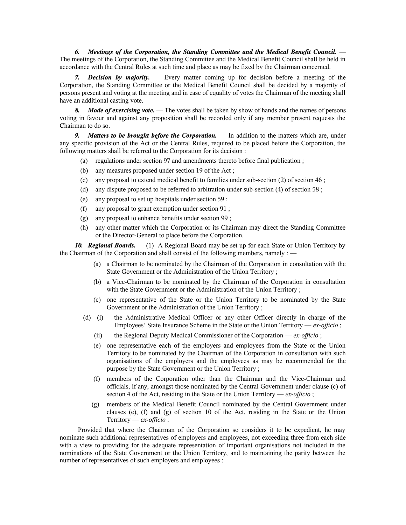*6. Meetings of the Corporation, the Standing Committee and the Medical Benefit Council.* — The meetings of the Corporation, the Standing Committee and the Medical Benefit Council shall be held in accordance with the Central Rules at such time and place as may be fixed by the Chairman concerned.

*7. Decision by majority.* — Every matter coming up for decision before a meeting of the Corporation, the Standing Committee or the Medical Benefit Council shall be decided by a majority of persons present and voting at the meeting and in case of equality of votes the Chairman of the meeting shall have an additional casting vote.

*Mode of exercising vote.* — The votes shall be taken by show of hands and the names of persons voting in favour and against any proposition shall be recorded only if any member present requests the Chairman to do so.

*9. Matters to be brought before the Corporation.* — In addition to the matters which are, under any specific provision of the Act or the Central Rules, required to be placed before the Corporation, the following matters shall be referred to the Corporation for its decision :

- (a) regulations under section 97 and amendments thereto before final publication ;
- (b) any measures proposed under section 19 of the Act ;
- (c) any proposal to extend medical benefit to families under sub-section (2) of section 46 ;
- (d) any dispute proposed to be referred to arbitration under sub-section (4) of section 58 ;
- (e) any proposal to set up hospitals under section 59 ;
- (f) any proposal to grant exemption under section 91 ;
- (g) any proposal to enhance benefits under section 99 ;
- (h) any other matter which the Corporation or its Chairman may direct the Standing Committee or the Director-General to place before the Corporation.

*10. Regional Boards.* — (1) A Regional Board may be set up for each State or Union Territory by the Chairman of the Corporation and shall consist of the following members, namely : —

- (a) a Chairman to be nominated by the Chairman of the Corporation in consultation with the State Government or the Administration of the Union Territory ;
- (b) a Vice-Chairman to be nominated by the Chairman of the Corporation in consultation with the State Government or the Administration of the Union Territory ;
- (c) one representative of the State or the Union Territory to be nominated by the State Government or the Administration of the Union Territory ;
- (d) (i) the Administrative Medical Officer or any other Officer directly in charge of the Employees' State Insurance Scheme in the State or the Union Territory — *ex-officio* ;
	- (ii) the Regional Deputy Medical Commissioner of the Corporation *ex-officio* ;
	- (e) one representative each of the employers and employees from the State or the Union Territory to be nominated by the Chairman of the Corporation in consultation with such organisations of the employers and the employees as may be recommended for the purpose by the State Government or the Union Territory ;
	- (f) members of the Corporation other than the Chairman and the Vice-Chairman and officials, if any, amongst those nominated by the Central Government under clause (c) of section 4 of the Act, residing in the State or the Union Territory — *ex-officio* ;
	- (g) members of the Medical Benefit Council nominated by the Central Government under clauses (e), (f) and (g) of section 10 of the Act, residing in the State or the Union Territory — *ex-officio* :

 Provided that where the Chairman of the Corporation so considers it to be expedient, he may nominate such additional representatives of employers and employees, not exceeding three from each side with a view to providing for the adequate representation of important organisations not included in the nominations of the State Government or the Union Territory, and to maintaining the parity between the number of representatives of such employers and employees :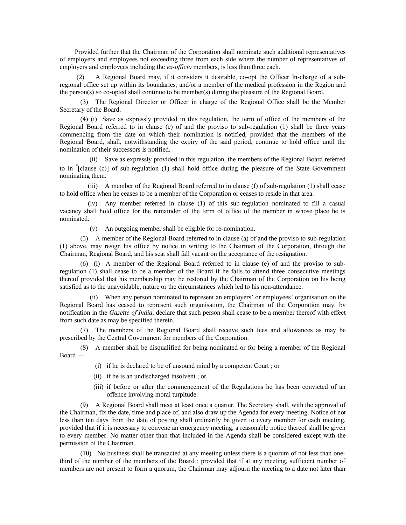Provided further that the Chairman of the Corporation shall nominate such additional representatives of employers and employees not exceeding three from each side where the number of representatives of employers and employees including the *ex-officio* members, is less than three each.

(2) A Regional Board may, if it considers it desirable, co-opt the Officer In-charge of a subregional office set up within its boundaries, and/or a member of the medical profession in the Region and the person(s) so co-opted shall continue to be member(s) during the pleasure of the Regional Board.

(3) The Regional Director or Officer in charge of the Regional Office shall be the Member Secretary of the Board.

(4) (i) Save as expressly provided in this regulation, the term of office of the members of the Regional Board referred to in clause (e) of and the proviso to sub-regulation (1) shall be three years commencing from the date on which their nomination is notified, provided that the members of the Regional Board, shall, notwithstanding the expiry of the said period, continue to hold office until the nomination of their successors is notified.

 (ii) Save as expressly provided in this regulation, the members of the Regional Board referred to in <sup>6</sup>[clause (c)] of sub-regulation (1) shall hold office during the pleasure of the State Government nominating them.

(iii) A member of the Regional Board referred to in clause (f) of sub-regulation (1) shall cease to hold office when he ceases to be a member of the Corporation or ceases to reside in that area.

(iv) Any member referred in clause (1) of this sub-regulation nominated to fill a casual vacancy shall hold office for the remainder of the term of office of the member in whose place he is nominated.

(v) An outgoing member shall be eligible for re-nomination.

(5) A member of the Regional Board referred to in clause (a) of and the proviso to sub-regulation (1) above, may resign his office by notice in writing to the Chairman of the Corporation, through the Chairman, Regional Board, and his seat shall fall vacant on the acceptance of the resignation.

(6) (i) A member of the Regional Board referred to in clause (e) of and the proviso to subregulation (1) shall cease to be a member of the Board if he fails to attend three consecutive meetings thereof provided that his membership may be restored by the Chairman of the Corporation on his being satisfied as to the unavoidable, nature or the circumstances which led to his non-attendance.

(ii) When any person nominated to represent an employers' or employees' organisation on the Regional Board has ceased to represent such organisation, the Chairman of the Corporation may, by notification in the *Gazette of India*, declare that such person shall cease to be a member thereof with effect from such date as may be specified therein.

(7) The members of the Regional Board shall receive such fees and allowances as may be prescribed by the Central Government for members of the Corporation.

(8) A member shall be disqualified for being nominated or for being a member of the Regional Board —

- (i) if he is declared to be of unsound mind by a competent Court ; or
- (ii) if he is an undischarged insolvent ; or
- (iii) if before or after the commencement of the Regulations he has been convicted of an offence involving moral turpitude.

(9) A Regional Board shall meet at least once a quarter. The Secretary shall, with the approval of the Chairman, fix the date, time and place of, and also draw up the Agenda for every meeting. Notice of not less than ten days from the date of posting shall ordinarily be given to every member for each meeting, provided that if it is necessary to convene an emergency meeting, a reasonable notice thereof shall be given to every member. No matter other than that included in the Agenda shall be considered except with the permission of the Chairman.

(10) No business shall be transacted at any meeting unless there is a quorum of not less than onethird of the number of the members of the Board : provided that if at any meeting, sufficient number of members are not present to form a quorum, the Chairman may adjourn the meeting to a date not later than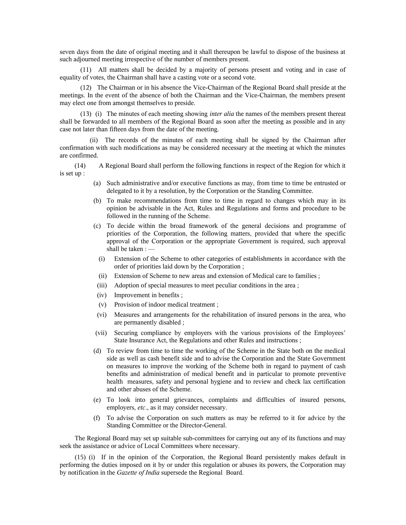seven days from the date of original meeting and it shall thereupon be lawful to dispose of the business at such adjourned meeting irrespective of the number of members present.

(11) All matters shall be decided by a majority of persons present and voting and in case of equality of votes, the Chairman shall have a casting vote or a second vote.

(12) The Chairman or in his absence the Vice-Chairman of the Regional Board shall preside at the meetings. In the event of the absence of both the Chairman and the Vice-Chairman, the members present may elect one from amongst themselves to preside.

(13) (i) The minutes of each meeting showing *inter alia* the names of the members present thereat shall be forwarded to all members of the Regional Board as soon after the meeting as possible and in any case not later than fifteen days from the date of the meeting.

(ii) The records of the minutes of each meeting shall be signed by the Chairman after confirmation with such modifications as may be considered necessary at the meeting at which the minutes are confirmed.

 (14) A Regional Board shall perform the following functions in respect of the Region for which it is set up :

- (a) Such administrative and/or executive functions as may, from time to time be entrusted or delegated to it by a resolution, by the Corporation or the Standing Committee.
- (b) To make recommendations from time to time in regard to changes which may in its opinion be advisable in the Act, Rules and Regulations and forms and procedure to be followed in the running of the Scheme.
- (c) To decide within the broad framework of the general decisions and programme of priorities of the Corporation, the following matters, provided that where the specific approval of the Corporation or the appropriate Government is required, such approval shall be taken : —
	- (i) Extension of the Scheme to other categories of establishments in accordance with the order of priorities laid down by the Corporation ;
	- (ii) Extension of Scheme to new areas and extension of Medical care to families ;
- (iii) Adoption of special measures to meet peculiar conditions in the area ;
- (iv) Improvement in benefits ;
- (v) Provision of indoor medical treatment ;
- (vi) Measures and arrangements for the rehabilitation of insured persons in the area, who are permanently disabled ;
- (vii) Securing compliance by employers with the various provisions of the Employees' State Insurance Act, the Regulations and other Rules and instructions ;
- (d) To review from time to time the working of the Scheme in the State both on the medical side as well as cash benefit side and to advise the Corporation and the State Government on measures to improve the working of the Scheme both in regard to payment of cash benefits and administration of medical benefit and in particular to promote preventive health measures, safety and personal hygiene and to review and check lax certification and other abuses of the Scheme.
- (e) To look into general grievances, complaints and difficulties of insured persons, employers, *etc*., as it may consider necessary.
- (f) To advise the Corporation on such matters as may be referred to it for advice by the Standing Committee or the Director-General.

The Regional Board may set up suitable sub-committees for carrying out any of its functions and may seek the assistance or advice of Local Committees where necessary.

(15) (i) If in the opinion of the Corporation, the Regional Board persistently makes default in performing the duties imposed on it by or under this regulation or abuses its powers, the Corporation may by notification in the *Gazette of India* supersede the Regional Board.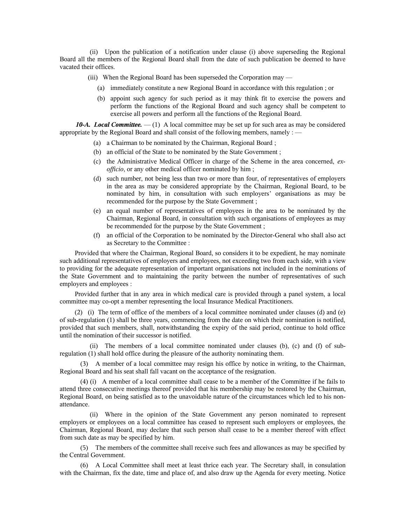(ii) Upon the publication of a notification under clause (i) above superseding the Regional Board all the members of the Regional Board shall from the date of such publication be deemed to have vacated their offices.

- (iii) When the Regional Board has been superseded the Corporation may
	- (a) immediately constitute a new Regional Board in accordance with this regulation ; or
	- (b) appoint such agency for such period as it may think fit to exercise the powers and perform the functions of the Regional Board and such agency shall be competent to exercise all powers and perform all the functions of the Regional Board.

*10-A. Local Committee.* — (1) A local committee may be set up for such area as may be considered appropriate by the Regional Board and shall consist of the following members, namely : —

- (a) a Chairman to be nominated by the Chairman, Regional Board ;
- (b) an official of the State to be nominated by the State Government ;
- (c) the Administrative Medical Officer in charge of the Scheme in the area concerned, *exofficio*, or any other medical officer nominated by him ;
- (d) such number, not being less than two or more than four, of representatives of employers in the area as may be considered appropriate by the Chairman, Regional Board, to be nominated by him, in consultation with such employers' organisations as may be recommended for the purpose by the State Government ;
- (e) an equal number of representatives of employees in the area to be nominated by the Chairman, Regional Board, in consultation with such organisations of employees as may be recommended for the purpose by the State Government ;
- (f) an official of the Corporation to be nominated by the Director-General who shall also act as Secretary to the Committee :

Provided that where the Chairman, Regional Board, so considers it to be expedient, he may nominate such additional representatives of employers and employees, not exceeding two from each side, with a view to providing for the adequate representation of important organisations not included in the nominations of the State Government and to maintaining the parity between the number of representatives of such employers and employees :

Provided further that in any area in which medical care is provided through a panel system, a local committee may co-opt a member representing the local Insurance Medical Practitioners.

(2) (i) The term of office of the members of a local committee nominated under clauses (d) and (e) of sub-regulation (1) shall be three years, commencing from the date on which their nomination is notified, provided that such members, shall, notwithstanding the expiry of the said period, continue to hold office until the nomination of their successor is notified.

(ii) The members of a local committee nominated under clauses (b), (c) and (f) of subregulation (1) shall hold office during the pleasure of the authority nominating them.

(3) A member of a local committee may resign his office by notice in writing, to the Chairman, Regional Board and his seat shall fall vacant on the acceptance of the resignation.

(4) (i) A member of a local committee shall cease to be a member of the Committee if he fails to attend three consecutive meetings thereof provided that his membership may be restored by the Chairman, Regional Board, on being satisfied as to the unavoidable nature of the circumstances which led to his nonattendance.

(ii) Where in the opinion of the State Government any person nominated to represent employers or employees on a local committee has ceased to represent such employers or employees, the Chairman, Regional Board, may declare that such person shall cease to be a member thereof with effect from such date as may be specified by him.

(5) The members of the committee shall receive such fees and allowances as may be specified by the Central Government.

(6) A Local Committee shall meet at least thrice each year. The Secretary shall, in consulation with the Chairman, fix the date, time and place of, and also draw up the Agenda for every meeting. Notice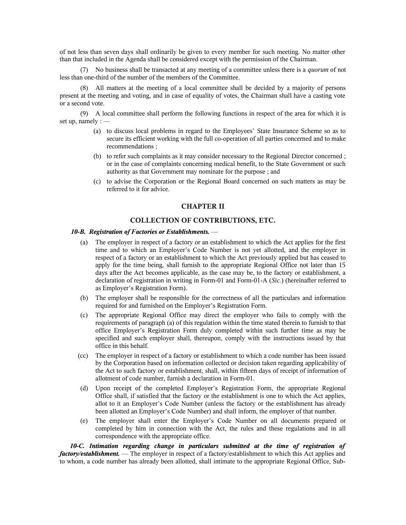of not less than seven days shall ordinarily be given to every member for such meeting. No matter other than that included in the Agenda shall be considered except with the permission of the Chairman.

(7) No business shall be transacted at any meeting of a committee unless there is a *quorum* of not less than one-third of the number of the members of the Committee.

(8) All matters at the meeting of a local committee shall be decided by a majority of persons present at the meeting and voting, and in case of equality of votes, the Chairman shall have a casting vote or a second vote.

(9) A local committee shall perform the following functions in respect of the area for which it is set up, namely  $:=$ 

- (a) to discuss local problems in regard to the Employees' State Insurance Scheme so as to secure its efficient working with the full co-operation of all parties concerned and to make recommendations ;
- (b) to refer such complaints as it may consider necessary to the Regional Director concerned ; or in the case of complaints concerning medical benefit, to the State Government or such authority as that Government may nominate for the purpose ; and
- (c) to advise the Corporation or the Regional Board concerned on such matters as may be referred to it for advice.

#### **CHAPTER II**

### **COLLECTION OF CONTRIBUTIONS, ETC.**

#### *10-B. Registration of Factories or Establishments.* —

- (a) The employer in respect of a factory or an establishment to which the Act applies for the first time and to which an Employer's Code Number is not yet allotted, and the employer in respect of a factory or an establishment to which the Act previously applied but has ceased to apply for the time being, shall furnish to the appropriate Regional Office not later than 15 days after the Act becomes applicable, as the case may be, to the factory or establishment, a declaration of registration in writing in Form-01 and Form-01-A (*Sic.*) (hereinafter referred to as Employer's Registration Form).
- (b) The employer shall be responsible for the correctness of all the particulars and information required for and furnished on the Employer's Registration Form.
- (c) The appropriate Regional Office may direct the employer who fails to comply with the requirements of paragraph (a) of this regulation within the time stated therein to furnish to that office Employer's Registration Form duly completed within such further time as may be specified and such employer shall, thereupon, comply with the instructions issued by that office in this behalf.
- (cc) The employer in respect of a factory or establishment to which a code number has been issued by the Corporation based on information collected or decision taken regarding applicability of the Act to such factory or establishment, shall, within fifteen days of receipt of information of allotment of code number, furnish a declaration in Form-01.
- (d) Upon receipt of the completed Employer's Registration Form, the appropriate Regional Office shall, if satisfied that the factory or the establishment is one to which the Act applies, allot to it an Employer's Code Number (unless the factory or the establishment has already been allotted an Employer's Code Number) and shall inform, the employer of that number.
- (e) The employer shall enter the Employer's Code Number on all documents prepared or completed by him in connection with the Act, the rules and these regulations and in all correspondence with the appropriate office.

 *10-C. Intimation regarding change in particulars submitted at the time of registration of factory/establishment.* — The employer in respect of a factory/establishment to which this Act applies and to whom, a code number has already been allotted, shall intimate to the appropriate Regional Office, Sub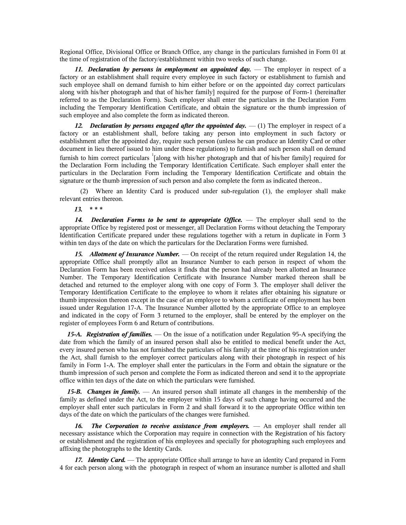Regional Office, Divisional Office or Branch Office, any change in the particulars furnished in Form 01 at the time of registration of the factory/establishment within two weeks of such change.

**11. Declaration by persons in employment on appointed day.** — The employer in respect of a factory or an establishment shall require every employee in such factory or establishment to furnish and such employee shall on demand furnish to him either before or on the appointed day correct particulars along with his/her photograph and that of his/her family] required for the purpose of Form-1 (hereinafter referred to as the Declaration Form). Such employer shall enter the particulars in the Declaration Form including the Temporary Identification Certificate, and obtain the signature or the thumb impression of such employee and also complete the form as indicated thereon.

12. **Declaration by persons engaged after the appointed day.**  $\qquad$  (1) The employer in respect of a factory or an establishment shall, before taking any person into employment in such factory or establishment after the appointed day, require such person (unless he can produce an Identity Card or other document in lieu thereof issued to him under these regulations) to furnish and such person shall on demand furnish to him correct particulars <sup>1</sup>[along with his/her photograph and that of his/her family] required for the Declaration Form including the Temporary Identification Certificate. Such employer shall enter the particulars in the Declaration Form including the Temporary Identification Certificate and obtain the signature or the thumb impression of such person and also complete the form as indicated thereon..

(2) Where an Identity Card is produced under sub-regulation (1), the employer shall make relevant entries thereon.

 *13.* **\* \* \***

*14. Declaration Forms to be sent to appropriate Office.* — The employer shall send to the appropriate Office by registered post or messenger, all Declaration Forms without detaching the Temporary Identification Certificate prepared under these regulations together with a return in duplicate in Form 3 within ten days of the date on which the particulars for the Declaration Forms were furnished.

*15. Allotment of Insurance Number.* — On receipt of the return required under Regulation 14, the appropriate Office shall promptly allot an Insurance Number to each person in respect of whom the Declaration Form has been received unless it finds that the person had already been allotted an Insurance Number. The Temporary Identification Certificate with Insurance Number marked thereon shall be detached and returned to the employer along with one copy of Form 3. The employer shall deliver the Temporary Identification Certificate to the employee to whom it relates after obtaining his signature or thumb impression thereon except in the case of an employee to whom a certificate of employment has been issued under Regulation 17-A. The Insurance Number allotted by the appropriate Office to an employee and indicated in the copy of Form 3 returned to the employer, shall be entered by the employer on the register of employees Form 6 and Return of contributions.

*15-A. Registration of families.* — On the issue of a notification under Regulation 95-A specifying the date from which the family of an insured person shall also be entitled to medical benefit under the Act, every insured person who has not furnished the particulars of his family at the time of his registration under the Act, shall furnish to the employer correct particulars along with their photograph in respect of his family in Form 1-A. The employer shall enter the particulars in the Form and obtain the signature or the thumb impression of such person and complete the Form as indicated thereon and send it to the appropriate office within ten days of the date on which the particulars were furnished.

*15-B. Changes in family.* — An insured person shall intimate all changes in the membership of the family as defined under the Act, to the employer within 15 days of such change having occurred and the employer shall enter such particulars in Form 2 and shall forward it to the appropriate Office within ten days of the date on which the particulars of the changes were furnished.

16. The Corporation to receive assistance from employers. — An employer shall render all necessary assistance which the Corporation may require in connection with the Registration of his factory or establishment and the registration of his employees and specially for photographing such employees and affixing the photographs to the Identity Cards.

*17. Identity Card.* — The appropriate Office shall arrange to have an identity Card prepared in Form 4 for each person along with the photograph in respect of whom an insurance number is allotted and shall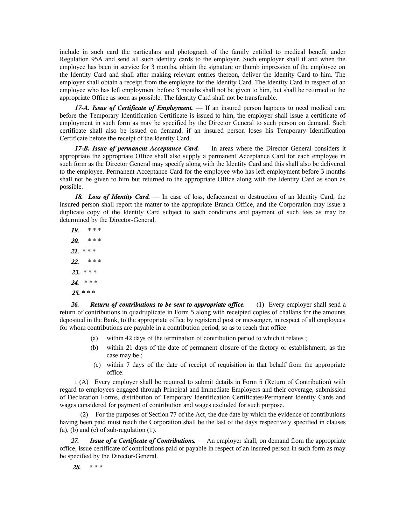include in such card the particulars and photograph of the family entitled to medical benefit under Regulation 95A and send all such identity cards to the employer. Such employer shall if and when the employee has been in service for 3 months, obtain the signature or thumb impression of the employee on the Identity Card and shall after making relevant entries thereon, deliver the Identity Card to him. The employer shall obtain a receipt from the employee for the Identity Card. The Identity Card in respect of an employee who has left employment before 3 months shall not be given to him, but shall be returned to the appropriate Office as soon as possible. The Identity Card shall not be transferable.

*17-A. Issue of Certificate of Employment.* — If an insured person happens to need medical care before the Temporary Identification Certificate is issued to him, the employer shall issue a certificate of employment in such form as may be specified by the Director General to such person on demand. Such certificate shall also be issued on demand, if an insured person loses his Temporary Identification Certificate before the receipt of the Identity Card.

*17-B. Issue of permanent Acceptance Card.* — In areas where the Director General considers it appropriate the appropriate Office shall also supply a permanent Acceptance Card for each employee in such form as the Director General may specify along with the Identity Card and this shall also be delivered to the employee. Permanent Acceptance Card for the employee who has left employment before 3 months shall not be given to him but returned to the appropriate Office along with the Identity Card as soon as possible.

18. Loss of Identity Card. — In case of loss, defacement or destruction of an Identity Card, the insured person shall report the matter to the appropriate Branch Office, and the Corporation may issue a duplicate copy of the Identity Card subject to such conditions and payment of such fees as may be determined by the Director-General.

*19.* \* \* \* *20.* \* \* \* *21.* \* \* \* *22.* \* \* \* *23.* \* \* \* *24.* \* \* \* *25.* \* \* \*

**26.** Return of contributions to be sent to appropriate office.  $- (1)$  Every employer shall send a return of contributions in quadruplicate in Form 5 along with receipted copies of challans for the amounts deposited in the Bank, to the appropriate office by registered post or messenger, in respect of all employees for whom contributions are payable in a contribution period, so as to reach that office -

- (a) within 42 days of the termination of contribution period to which it relates ;
- (b) within 21 days of the date of permanent closure of the factory or establishment, as the case may be ;
- (c) within 7 days of the date of receipt of requisition in that behalf from the appropriate office.

 1 (A) Every employer shall be required to submit details in Form 5 (Return of Contribution) with regard to employees engaged through Principal and Immediate Employers and their coverage, submission of Declaration Forms, distribution of Temporary Identification Certificates/Permanent Identity Cards and wages considered for payment of contribution and wages excluded for such purpose.

(2) For the purposes of Section 77 of the Act, the due date by which the evidence of contributions having been paid must reach the Corporation shall be the last of the days respectively specified in clauses (a), (b) and (c) of sub-regulation  $(1)$ .

*Issue of a Certificate of Contributions.* — An employer shall, on demand from the appropriate office, issue certificate of contributions paid or payable in respect of an insured person in such form as may be specified by the Director-General.

*28.* **\* \* \***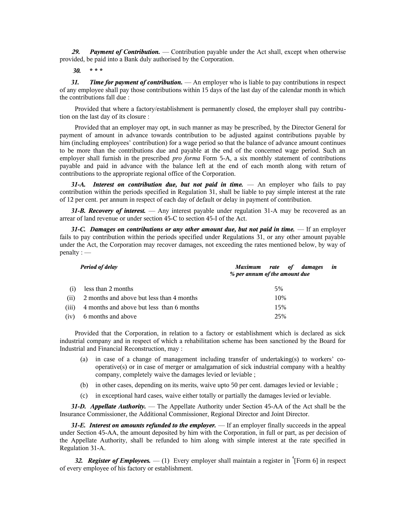*29. Payment of Contribution.* — Contribution payable under the Act shall, except when otherwise provided, be paid into a Bank duly authorised by the Corporation.

*30.* **\* \* \***

*31. Time for payment of contribution.* — An employer who is liable to pay contributions in respect of any employee shall pay those contributions within 15 days of the last day of the calendar month in which the contributions fall due :

Provided that where a factory/establishment is permanently closed, the employer shall pay contribution on the last day of its closure :

Provided that an employer may opt, in such manner as may be prescribed, by the Director General for payment of amount in advance towards contribution to be adjusted against contributions payable by him (including employees' contribution) for a wage period so that the balance of advance amount continues to be more than the contributions due and payable at the end of the concerned wage period. Such an employer shall furnish in the prescribed *pro forma* Form 5-A, a six monthly statement of contributions payable and paid in advance with the balance left at the end of each month along with return of contributions to the appropriate regional office of the Corporation.

*31-A. Interest on contribution due, but not paid in time.* — An employer who fails to pay contribution within the periods specified in Regulation 31, shall be liable to pay simple interest at the rate of 12 per cent. per annum in respect of each day of default or delay in payment of contribution.

*31-B. Recovery of interest.* — Any interest payable under regulation 31-A may be recovered as an arrear of land revenue or under section 45-C to section 45-I of the Act.

*31-C. Damages on contributions or any other amount due, but not paid in time.* — If an employer fails to pay contribution within the periods specified under Regulations 31, or any other amount payable under the Act, the Corporation may recover damages, not exceeding the rates mentioned below, by way of penalty : —

| <b>Period of delay</b> |                                           | Maximum rate of<br>damages<br>in<br>% per annum of the amount due |
|------------------------|-------------------------------------------|-------------------------------------------------------------------|
|                        | less than 2 months                        | 5%                                                                |
| (11)                   | 2 months and above but less than 4 months | 10%                                                               |
| (iii)                  | 4 months and above but less than 6 months | 15%                                                               |
| (1V)                   | 6 months and above                        | 25%                                                               |

Provided that the Corporation, in relation to a factory or establishment which is declared as sick industrial company and in respect of which a rehabilitation scheme has been sanctioned by the Board for Industrial and Financial Reconstruction, may :

- (a) in case of a change of management including transfer of undertaking(s) to workers' cooperative(s) or in case of merger or amalgamation of sick industrial company with a healthy company, completely waive the damages levied or leviable ;
- (b) in other cases, depending on its merits, waive upto 50 per cent. damages levied or leviable ;
- (c) in exceptional hard cases, waive either totally or partially the damages levied or leviable.

*31-D. Appellate Authority.* — The Appellate Authority under Section 45-AA of the Act shall be the Insurance Commissioner, the Additional Commissioner, Regional Director and Joint Director.

*31-E. Interest on amounts refunded to the employer.* — If an employer finally succeeds in the appeal under Section 45-AA, the amount deposited by him with the Corporation, in full or part, as per decision of the Appellate Authority, shall be refunded to him along with simple interest at the rate specified in Regulation 31-A.

32. **Register of Employees.**  $- (1)$  Every employer shall maintain a register in  $\binom{4}{1}$  Form 6] in respect of every employee of his factory or establishment.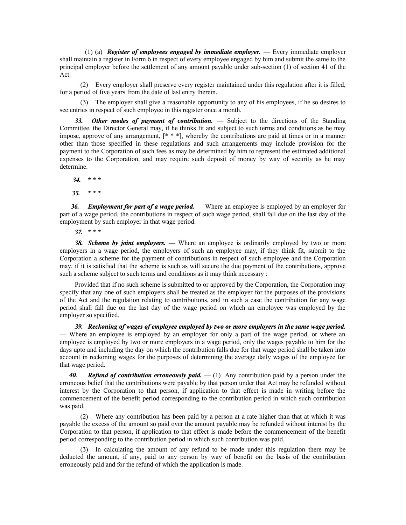(1) (a) *Register of employees engaged by immediate employer.* — Every immediate employer shall maintain a register in Form 6 in respect of every employee engaged by him and submit the same to the principal employer before the settlement of any amount payable under sub-section (1) of section 41 of the Act.

(2) Every employer shall preserve every register maintained under this regulation after it is filled, for a period of five years from the date of last entry therein.

(3) The employer shall give a reasonable opportunity to any of his employees, if he so desires to see entries in respect of such employee in this register once a month.

33. Other modes of payment of contribution. — Subject to the directions of the Standing Committee, the Director General may, if he thinks fit and subject to such terms and conditions as he may impose, approve of any arrangement, [\* \* \*], whereby the contributions are paid at times or in a manner other than those specified in these regulations and such arrangements may include provision for the payment to the Corporation of such fees as may be determined by him to represent the estimated additional expenses to the Corporation, and may require such deposit of money by way of security as he may determine.

 *34.* **\* \* \***

*35.* **\* \* \***

*36. Employment for part of a wage period.* — Where an employee is employed by an employer for part of a wage period, the contributions in respect of such wage period, shall fall due on the last day of the employment by such employer in that wage period.

*37.* **\* \* \***

*38. Scheme by joint employers.* — Where an employee is ordinarily employed by two or more employers in a wage period, the employers of such an employee may, if they think fit, submit to the Corporation a scheme for the payment of contributions in respect of such employee and the Corporation may, if it is satisfied that the scheme is such as will secure the due payment of the contributions, approve such a scheme subject to such terms and conditions as it may think necessary :

Provided that if no such scheme is submitted to or approved by the Corporation, the Corporation may specify that any one of such employers shall be treated as the employer for the purposes of the provisions of the Act and the regulation relating to contributions, and in such a case the contribution for any wage period shall fall due on the last day of the wage period on which an employee was employed by the employer so specified.

*39. Reckoning of wages of employee employed by two or more employers in the same wage period.* — Where an employee is employed by an employer for only a part of the wage period, or where an employee is employed by two or more employers in a wage period, only the wages payable to him for the days upto and including the day on which the contribution falls due for that wage period shall be taken into account in reckoning wages for the purposes of determining the average daily wages of the employee for that wage period.

*40. Refund of contribution erroneously paid.* — (1) Any contribution paid by a person under the erroneous belief that the contributions were payable by that person under that Act may be refunded without interest by the Corporation to that person, if application to that effect is made in writing before the commencement of the benefit period corresponding to the contribution period in which such contribution was paid.

(2) Where any contribution has been paid by a person at a rate higher than that at which it was payable the excess of the amount so paid over the amount payable may be refunded without interest by the Corporation to that person, if application to that effect is made before the commencement of the benefit period corresponding to the contribution period in which such contribution was paid.

(3) In calculating the amount of any refund to be made under this regulation there may be deducted the amount, if any, paid to any person by way of benefit on the basis of the contribution erroneously paid and for the refund of which the application is made.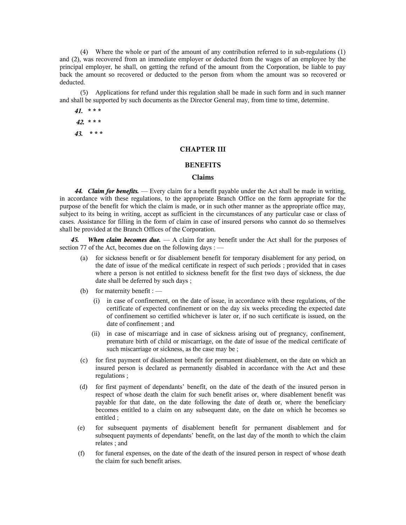(4) Where the whole or part of the amount of any contribution referred to in sub-regulations (1) and (2), was recovered from an immediate employer or deducted from the wages of an employee by the principal employer, he shall, on getting the refund of the amount from the Corporation, be liable to pay back the amount so recovered or deducted to the person from whom the amount was so recovered or deducted.

(5) Applications for refund under this regulation shall be made in such form and in such manner and shall be supported by such documents as the Director General may, from time to time, determine.

# *41.* **\* \* \***  *42.* **\* \* \*** *43.* **\* \* \***

# **CHAPTER III**

# **BENEFITS**

#### **Claims**

*44. Claim for benefits.* — Every claim for a benefit payable under the Act shall be made in writing, in accordance with these regulations, to the appropriate Branch Office on the form appropriate for the purpose of the benefit for which the claim is made, or in such other manner as the appropriate office may, subject to its being in writing, accept as sufficient in the circumstances of any particular case or class of cases. Assistance for filling in the form of claim in case of insured persons who cannot do so themselves shall be provided at the Branch Offices of the Corporation.

*When claim becomes due.* — A claim for any benefit under the Act shall for the purposes of section 77 of the Act, becomes due on the following days : —

- (a) for sickness benefit or for disablement benefit for temporary disablement for any period, on the date of issue of the medical certificate in respect of such periods ; provided that in cases where a person is not entitled to sickness benefit for the first two days of sickness, the due date shall be deferred by such days ;
- (b) for maternity benefit :  $-$ 
	- (i) in case of confinement, on the date of issue, in accordance with these regulations, of the certificate of expected confinement or on the day six weeks preceding the expected date of confinement so certified whichever is later or, if no such certificate is issued, on the date of confinement ; and
	- (ii) in case of miscarriage and in case of sickness arising out of pregnancy, confinement, premature birth of child or miscarriage, on the date of issue of the medical certificate of such miscarriage or sickness, as the case may be ;
- (c) for first payment of disablement benefit for permanent disablement, on the date on which an insured person is declared as permanently disabled in accordance with the Act and these regulations ;
- (d) for first payment of dependants' benefit, on the date of the death of the insured person in respect of whose death the claim for such benefit arises or, where disablement benefit was payable for that date, on the date following the date of death or, where the beneficiary becomes entitled to a claim on any subsequent date, on the date on which he becomes so entitled ;
- (e) for subsequent payments of disablement benefit for permanent disablement and for subsequent payments of dependants' benefit, on the last day of the month to which the claim relates ; and
- (f) for funeral expenses, on the date of the death of the insured person in respect of whose death the claim for such benefit arises.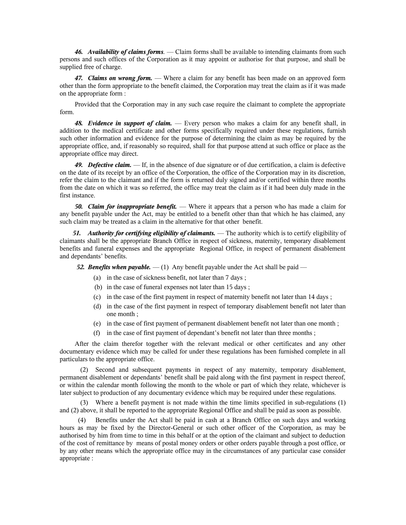*46. Availability of claims forms.* — Claim forms shall be available to intending claimants from such persons and such offices of the Corporation as it may appoint or authorise for that purpose, and shall be supplied free of charge.

*47. Claims on wrong form.* — Where a claim for any benefit has been made on an approved form other than the form appropriate to the benefit claimed, the Corporation may treat the claim as if it was made on the appropriate form :

Provided that the Corporation may in any such case require the claimant to complete the appropriate form.

*48. Evidence in support of claim.* — Every person who makes a claim for any benefit shall, in addition to the medical certificate and other forms specifically required under these regulations, furnish such other information and evidence for the purpose of determining the claim as may be required by the appropriate office, and, if reasonably so required, shall for that purpose attend at such office or place as the appropriate office may direct.

*49. Defective claim.* — If, in the absence of due signature or of due certification, a claim is defective on the date of its receipt by an office of the Corporation, the office of the Corporation may in its discretion, refer the claim to the claimant and if the form is returned duly signed and/or certified within three months from the date on which it was so referred, the office may treat the claim as if it had been duly made in the first instance.

*50. Claim for inappropriate benefit.* — Where it appears that a person who has made a claim for any benefit payable under the Act, may be entitled to a benefit other than that which he has claimed, any such claim may be treated as a claim in the alternative for that other benefit.

*51. Authority for certifying eligibility of claimants.* — The authority which is to certify eligibility of claimants shall be the appropriate Branch Office in respect of sickness, maternity, temporary disablement benefits and funeral expenses and the appropriate Regional Office, in respect of permanent disablement and dependants' benefits.

**52. Benefits when payable.** — (1) Any benefit payable under the Act shall be paid —

- (a) in the case of sickness benefit, not later than 7 days ;
- (b) in the case of funeral expenses not later than 15 days ;
- (c) in the case of the first payment in respect of maternity benefit not later than 14 days ;
- (d) in the case of the first payment in respect of temporary disablement benefit not later than one month ;
- (e) in the case of first payment of permanent disablement benefit not later than one month ;
- (f) in the case of first payment of dependant's benefit not later than three months ;

After the claim therefor together with the relevant medical or other certificates and any other documentary evidence which may be called for under these regulations has been furnished complete in all particulars to the appropriate office.

(2) Second and subsequent payments in respect of any maternity, temporary disablement, permanent disablement or dependants' benefit shall be paid along with the first payment in respect thereof, or within the calendar month following the month to the whole or part of which they relate, whichever is later subject to production of any documentary evidence which may be required under these regulations.

Where a benefit payment is not made within the time limits specified in sub-regulations (1) and (2) above, it shall be reported to the appropriate Regional Office and shall be paid as soon as possible.

 (4) Benefits under the Act shall be paid in cash at a Branch Office on such days and working hours as may be fixed by the Director-General or such other officer of the Corporation, as may be authorised by him from time to time in this behalf or at the option of the claimant and subject to deduction of the cost of remittance by means of postal money orders or other orders payable through a post office, or by any other means which the appropriate office may in the circumstances of any particular case consider appropriate :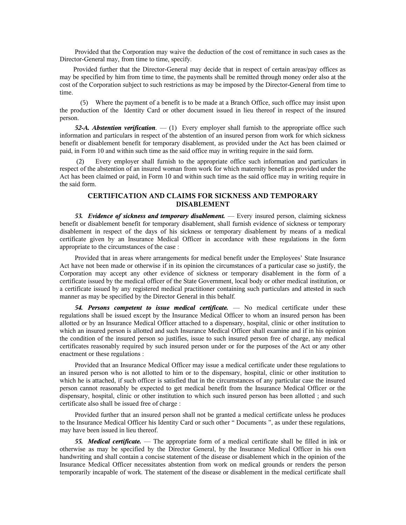Provided that the Corporation may waive the deduction of the cost of remittance in such cases as the Director-General may, from time to time, specify.

 Provided further that the Director-General may decide that in respect of certain areas/pay offices as may be specified by him from time to time, the payments shall be remitted through money order also at the cost of the Corporation subject to such restrictions as may be imposed by the Director-General from time to time.

(5) Where the payment of a benefit is to be made at a Branch Office, such office may insist upon the production of the Identity Card or other document issued in lieu thereof in respect of the insured person.

*52-A. Abstention verification.* — (1) Every employer shall furnish to the appropriate office such information and particulars in respect of the abstention of an insured person from work for which sickness benefit or disablement benefit for temporary disablement, as provided under the Act has been claimed or paid, in Form 10 and within such time as the said office may in writing require in the said form.

Every employer shall furnish to the appropriate office such information and particulars in respect of the abstention of an insured woman from work for which maternity benefit as provided under the Act has been claimed or paid, in Form 10 and within such time as the said office may in writing require in the said form.

## **CERTIFICATION AND CLAIMS FOR SICKNESS AND TEMPORARY DISABLEMENT**

*53. Evidence of sickness and temporary disablement.* — Every insured person, claiming sickness benefit or disablement benefit for temporary disablement, shall furnish evidence of sickness or temporary disablement in respect of the days of his sickness or temporary disablement by means of a medical certificate given by an Insurance Medical Officer in accordance with these regulations in the form appropriate to the circumstances of the case :

Provided that in areas where arrangements for medical benefit under the Employees' State Insurance Act have not been made or otherwise if in its opinion the circumstances of a particular case so justify, the Corporation may accept any other evidence of sickness or temporary disablement in the form of a certificate issued by the medical officer of the State Government, local body or other medical institution, or a certificate issued by any registered medical practitioner containing such particulars and attested in such manner as may be specified by the Director General in this behalf.

*54. Persons competent to issue medical certificate.* — No medical certificate under these regulations shall be issued except by the Insurance Medical Officer to whom an insured person has been allotted or by an Insurance Medical Officer attached to a dispensary, hospital, clinic or other institution to which an insured person is allotted and such Insurance Medical Officer shall examine and if in his opinion the condition of the insured person so justifies, issue to such insured person free of charge, any medical certificates reasonably required by such insured person under or for the purposes of the Act or any other enactment or these regulations :

Provided that an Insurance Medical Officer may issue a medical certificate under these regulations to an insured person who is not allotted to him or to the dispensary, hospital, clinic or other institution to which he is attached, if such officer is satisfied that in the circumstances of any particular case the insured person cannot reasonably be expected to get medical benefit from the Insurance Medical Officer or the dispensary, hospital, clinic or other institution to which such insured person has been allotted ; and such certificate also shall be issued free of charge :

Provided further that an insured person shall not be granted a medical certificate unless he produces to the Insurance Medical Officer his Identity Card or such other " Documents ", as under these regulations, may have been issued in lieu thereof.

*55. Medical certificate.* — The appropriate form of a medical certificate shall be filled in ink or otherwise as may be specified by the Director General, by the Insurance Medical Officer in his own handwriting and shall contain a concise statement of the disease or disablement which in the opinion of the Insurance Medical Officer necessitates abstention from work on medical grounds or renders the person temporarily incapable of work. The statement of the disease or disablement in the medical certificate shall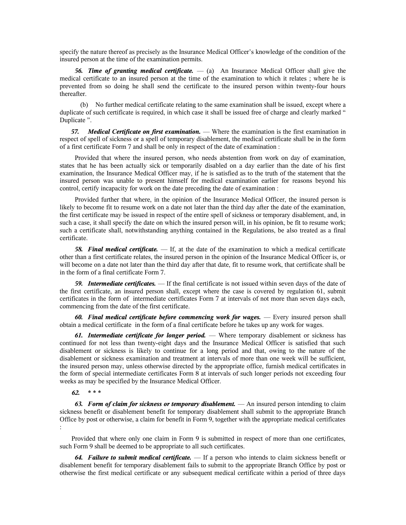specify the nature thereof as precisely as the Insurance Medical Officer's knowledge of the condition of the insured person at the time of the examination permits.

*56. Time of granting medical certificate.* — (a) An Insurance Medical Officer shall give the medical certificate to an insured person at the time of the examination to which it relates ; where he is prevented from so doing he shall send the certificate to the insured person within twenty-four hours thereafter.

(b) No further medical certificate relating to the same examination shall be issued, except where a duplicate of such certificate is required, in which case it shall be issued free of charge and clearly marked " Duplicate ".

*57. Medical Certificate on first examination.* — Where the examination is the first examination in respect of spell of sickness or a spell of temporary disablement, the medical certificate shall be in the form of a first certificate Form 7 and shall be only in respect of the date of examination :

Provided that where the insured person, who needs abstention from work on day of examination, states that he has been actually sick or temporarily disabled on a day earlier than the date of his first examination, the Insurance Medical Officer may, if he is satisfied as to the truth of the statement that the insured person was unable to present himself for medical examination earlier for reasons beyond his control, certify incapacity for work on the date preceding the date of examination :

Provided further that where, in the opinion of the Insurance Medical Officer, the insured person is likely to become fit to resume work on a date not later than the third day after the date of the examination, the first certificate may be issued in respect of the entire spell of sickness or temporary disablement, and, in such a case, it shall specify the date on which the insured person will, in his opinion, be fit to resume work; such a certificate shall, notwithstanding anything contained in the Regulations, be also treated as a final certificate.

*58. Final medical certificate.* — If, at the date of the examination to which a medical certificate other than a first certificate relates, the insured person in the opinion of the Insurance Medical Officer is, or will become on a date not later than the third day after that date, fit to resume work, that certificate shall be in the form of a final certificate Form 7.

*59. Intermediate certificates.* — If the final certificate is not issued within seven days of the date of the first certificate, an insured person shall, except where the case is covered by regulation 61, submit certificates in the form of intermediate certificates Form 7 at intervals of not more than seven days each, commencing from the date of the first certificate.

*60. Final medical certificate before commencing work for wages.* — Every insured person shall obtain a medical certificate in the form of a final certificate before he takes up any work for wages.

*61. Intermediate certificate for longer period.* — Where temporary disablement or sickness has continued for not less than twenty-eight days and the Insurance Medical Officer is satisfied that such disablement or sickness is likely to continue for a long period and that, owing to the nature of the disablement or sickness examination and treatment at intervals of more than one week will be sufficient, the insured person may, unless otherwise directed by the appropriate office, furnish medical certificates in the form of special intermediate certificates Form 8 at intervals of such longer periods not exceeding four weeks as may be specified by the Insurance Medical Officer.

*62.* **\* \* \***

*63. Form of claim for sickness or temporary disablement.* — An insured person intending to claim sickness benefit or disablement benefit for temporary disablement shall submit to the appropriate Branch Office by post or otherwise, a claim for benefit in Form 9, together with the appropriate medical certificates :

Provided that where only one claim in Form 9 is submitted in respect of more than one certificates, such Form 9 shall be deemed to be appropriate to all such certificates.

*64. Failure to submit medical certificate.* — If a person who intends to claim sickness benefit or disablement benefit for temporary disablement fails to submit to the appropriate Branch Office by post or otherwise the first medical certificate or any subsequent medical certificate within a period of three days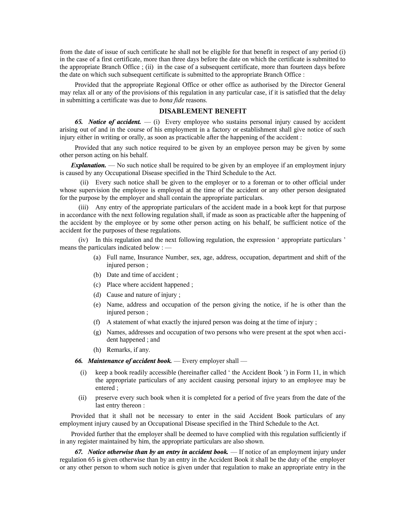from the date of issue of such certificate he shall not be eligible for that benefit in respect of any period (i) in the case of a first certificate, more than three days before the date on which the certificate is submitted to the appropriate Branch Office ; (ii) in the case of a subsequent certificate, more than fourteen days before the date on which such subsequent certificate is submitted to the appropriate Branch Office :

Provided that the appropriate Regional Office or other office as authorised by the Director General may relax all or any of the provisions of this regulation in any particular case, if it is satisfied that the delay in submitting a certificate was due to *bona fide* reasons.

### **DISABLEMENT BENEFIT**

*65. Notice of accident.* — (i) Every employee who sustains personal injury caused by accident arising out of and in the course of his employment in a factory or establishment shall give notice of such injury either in writing or orally, as soon as practicable after the happening of the accident :

Provided that any such notice required to be given by an employee person may be given by some other person acting on his behalf.

*Explanation.* — No such notice shall be required to be given by an employee if an employment injury is caused by any Occupational Disease specified in the Third Schedule to the Act.

(ii) Every such notice shall be given to the employer or to a foreman or to other official under whose supervision the employee is employed at the time of the accident or any other person designated for the purpose by the employer and shall contain the appropriate particulars.

(iii) Any entry of the appropriate particulars of the accident made in a book kept for that purpose in accordance with the next following regulation shall, if made as soon as practicable after the happening of the accident by the employee or by some other person acting on his behalf, be sufficient notice of the accident for the purposes of these regulations.

(iv) In this regulation and the next following regulation, the expression ' appropriate particulars ' means the particulars indicated below : —

- (a) Full name, Insurance Number, sex, age, address, occupation, department and shift of the injured person ;
- (b) Date and time of accident ;
- (c) Place where accident happened ;
- (d) Cause and nature of injury ;
- (e) Name, address and occupation of the person giving the notice, if he is other than the injured person ;
- (f) A statement of what exactly the injured person was doing at the time of injury ;
- (g) Names, addresses and occupation of two persons who were present at the spot when accident happened ; and
- (h) Remarks, if any.

*66. Maintenance of accident book.* — Every employer shall —

- keep a book readily accessible (hereinafter called ' the Accident Book ') in Form 11, in which the appropriate particulars of any accident causing personal injury to an employee may be entered ;
- (ii) preserve every such book when it is completed for a period of five years from the date of the last entry thereon :

Provided that it shall not be necessary to enter in the said Accident Book particulars of any employment injury caused by an Occupational Disease specified in the Third Schedule to the Act.

Provided further that the employer shall be deemed to have complied with this regulation sufficiently if in any register maintained by him, the appropriate particulars are also shown.

*67. Notice otherwise than by an entry in accident book.* — If notice of an employment injury under regulation 65 is given otherwise than by an entry in the Accident Book it shall be the duty of the employer or any other person to whom such notice is given under that regulation to make an appropriate entry in the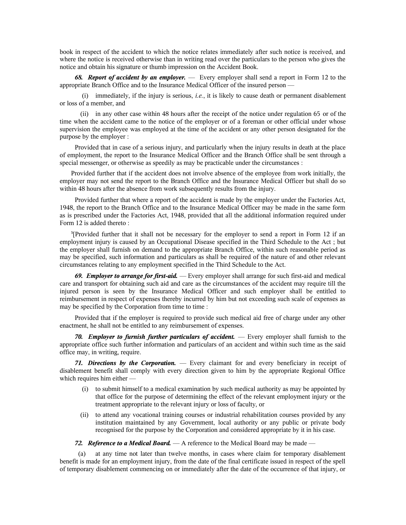book in respect of the accident to which the notice relates immediately after such notice is received, and where the notice is received otherwise than in writing read over the particulars to the person who gives the notice and obtain his signature or thumb impression on the Accident Book.

*68. Report of accident by an employer.* — Every employer shall send a report in Form 12 to the appropriate Branch Office and to the Insurance Medical Officer of the insured person —

 (i) immediately, if the injury is serious, *i.e.*, it is likely to cause death or permanent disablement or loss of a member, and

(ii) in any other case within 48 hours after the receipt of the notice under regulation 65 or of the time when the accident came to the notice of the employer or of a foreman or other official under whose supervision the employee was employed at the time of the accident or any other person designated for the purpose by the employer :

Provided that in case of a serious injury, and particularly when the injury results in death at the place of employment, the report to the Insurance Medical Officer and the Branch Office shall be sent through a special messenger, or otherwise as speedily as may be practicable under the circumstances :

Provided further that if the accident does not involve absence of the employee from work initially, the employer may not send the report to the Branch Office and the Insurance Medical Officer but shall do so within 48 hours after the absence from work subsequently results from the injury.

Provided further that where a report of the accident is made by the employer under the Factories Act, 1948, the report to the Branch Office and to the Insurance Medical Officer may be made in the same form as is prescribed under the Factories Act, 1948, provided that all the additional information required under Form 12 is added thereto :

**3** [Provided further that it shall not be necessary for the employer to send a report in Form 12 if an employment injury is caused by an Occupational Disease specified in the Third Schedule to the Act ; but the employer shall furnish on demand to the appropriate Branch Office, within such reasonable period as may be specified, such information and particulars as shall be required of the nature of and other relevant circumstances relating to any employment specified in the Third Schedule to the Act.

*69. Employer to arrange for first-aid.* — Every employer shall arrange for such first-aid and medical care and transport for obtaining such aid and care as the circumstances of the accident may require till the injured person is seen by the Insurance Medical Officer and such employer shall be entitled to reimbursement in respect of expenses thereby incurred by him but not exceeding such scale of expenses as may be specified by the Corporation from time to time :

Provided that if the employer is required to provide such medical aid free of charge under any other enactment, he shall not be entitled to any reimbursement of expenses.

*70. Employer to furnish further particulars of accident.* — Every employer shall furnish to the appropriate office such further information and particulars of an accident and within such time as the said office may, in writing, require.

*71. Directions by the Corporation.* — Every claimant for and every beneficiary in receipt of disablement benefit shall comply with every direction given to him by the appropriate Regional Office which requires him either —

- (i) to submit himself to a medical examination by such medical authority as may be appointed by that office for the purpose of determining the effect of the relevant employment injury or the treatment appropriate to the relevant injury or loss of faculty, or
- (ii) to attend any vocational training courses or industrial rehabilitation courses provided by any institution maintained by any Government, local authority or any public or private body recognised for the purpose by the Corporation and considered appropriate by it in his case.

*72. Reference to a Medical Board.* — A reference to the Medical Board may be made —

 (a) at any time not later than twelve months, in cases where claim for temporary disablement benefit is made for an employment injury, from the date of the final certificate issued in respect of the spell of temporary disablement commencing on or immediately after the date of the occurrence of that injury, or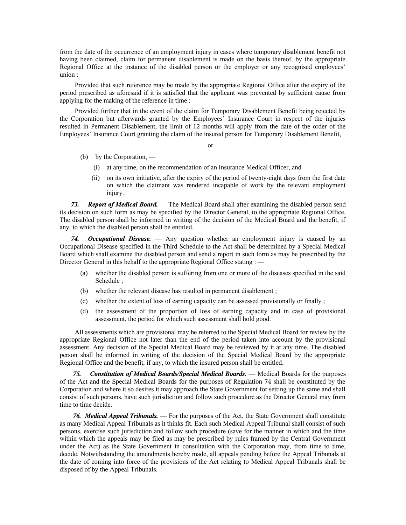from the date of the occurrence of an employment injury in cases where temporary disablement benefit not having been claimed, claim for permanent disablement is made on the basis thereof, by the appropriate Regional Office at the instance of the disabled person or the employer or any recognised employees' union :

Provided that such reference may be made by the appropriate Regional Office after the expiry of the period prescribed as aforesaid if it is satisfied that the applicant was prevented by sufficient cause from applying for the making of the reference in time :

Provided further that in the event of the claim for Temporary Disablement Benefit being rejected by the Corporation but afterwards granted by the Employees' Insurance Court in respect of the injuries resulted in Permanent Disablement, the limit of 12 months will apply from the date of the order of the Employees' Insurance Court granting the claim of the insured person for Temporary Disablement Benefit,

or

- (b) by the Corporation,
	- (i) at any time, on the recommendation of an Insurance Medical Officer, and
	- (ii) on its own initiative, after the expiry of the period of twenty-eight days from the first date on which the claimant was rendered incapable of work by the relevant employment injury.

*73. Report of Medical Board.* — The Medical Board shall after examining the disabled person send its decision on such form as may be specified by the Director General, to the appropriate Regional Office. The disabled person shall be informed in writing of the decision of the Medical Board and the benefit, if any, to which the disabled person shall be entitled.

*74. Occupational Disease.* — Any question whether an employment injury is caused by an Occupational Disease specified in the Third Schedule to the Act shall be determined by a Special Medical Board which shall examine the disabled person and send a report in such form as may be prescribed by the Director General in this behalf to the appropriate Regional Office stating : —

- (a) whether the disabled person is suffering from one or more of the diseases specified in the said Schedule ;
- (b) whether the relevant disease has resulted in permanent disablement ;
- (c) whether the extent of loss of earning capacity can be assessed provisionally or finally ;
- (d) the assessment of the proportion of loss of earning capacity and in case of provisional assessment, the period for which such assessment shall hold good.

All assessments which are provisional may be referred to the Special Medical Board for review by the appropriate Regional Office not later than the end of the period taken into account by the provisional assessment. Any decision of the Special Medical Board may be reviewed by it at any time. The disabled person shall be informed in writing of the decision of the Special Medical Board by the appropriate Regional Office and the benefit, if any, to which the insured person shall be entitled.

*75. Constitution of Medical Boards/Special Medical Boards.* — Medical Boards for the purposes of the Act and the Special Medical Boards for the purposes of Regulation 74 shall be constituted by the Corporation and where it so desires it may approach the State Government for setting up the same and shall consist of such persons, have such jurisdiction and follow such procedure as the Director General may from time to time decide.

*76. Medical Appeal Tribunals.* — For the purposes of the Act, the State Government shall constitute as many Medical Appeal Tribunals as it thinks fit. Each such Medical Appeal Tribunal shall consist of such persons, exercise such jurisdiction and follow such procedure (save for the manner in which and the time within which the appeals may be filed as may be prescribed by rules framed by the Central Government under the Act) as the State Government in consultation with the Corporation may, from time to time, decide. Notwithstanding the amendments hereby made, all appeals pending before the Appeal Tribunals at the date of coming into force of the provisions of the Act relating to Medical Appeal Tribunals shall be disposed of by the Appeal Tribunals.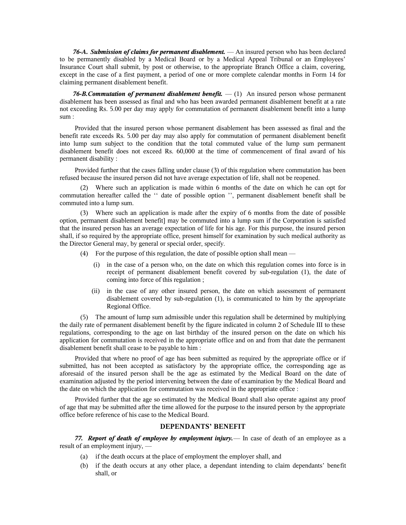*76-A***.** *Submission of claims for permanent disablement.* — An insured person who has been declared to be permanently disabled by a Medical Board or by a Medical Appeal Tribunal or an Employees' Insurance Court shall submit, by post or otherwise, to the appropriate Branch Office a claim, covering, except in the case of a first payment, a period of one or more complete calendar months in Form 14 for claiming permanent disablement benefit.

*76-B.Commutation of permanent disablement benefit.* — (1) An insured person whose permanent disablement has been assessed as final and who has been awarded permanent disablement benefit at a rate not exceeding Rs. 5.00 per day may apply for commutation of permanent disablement benefit into a lump sum :

Provided that the insured person whose permanent disablement has been assessed as final and the benefit rate exceeds Rs. 5.00 per day may also apply for commutation of permanent disablement benefit into lump sum subject to the condition that the total commuted value of the lump sum permanent disablement benefit does not exceed Rs. 60,000 at the time of commencement of final award of his permanent disability :

Provided further that the cases falling under clause (3) of this regulation where commutation has been refused because the insured person did not have average expectation of life, shall not be reopened.

(2) Where such an application is made within 6 months of the date on which he can opt for commutation hereafter called the '' date of possible option '', permanent disablement benefit shall be commuted into a lump sum.

(3) Where such an application is made after the expiry of 6 months from the date of possible option, permanent disablement benefit] may be commuted into a lump sum if the Corporation is satisfied that the insured person has an average expectation of life for his age. For this purpose, the insured person shall, if so required by the appropriate office, present himself for examination by such medical authority as the Director General may, by general or special order, specify.

- (4) For the purpose of this regulation, the date of possible option shall mean
	- (i) in the case of a person who, on the date on which this regulation comes into force is in receipt of permanent disablement benefit covered by sub-regulation (1), the date of coming into force of this regulation ;
	- (ii) in the case of any other insured person, the date on which assessment of permanent disablement covered by sub-regulation (1), is communicated to him by the appropriate Regional Office.

(5) The amount of lump sum admissible under this regulation shall be determined by multiplying the daily rate of permanent disablement benefit by the figure indicated in column 2 of Schedule III to these regulations, corresponding to the age on last birthday of the insured person on the date on which his application for commutation is received in the appropriate office and on and from that date the permanent disablement benefit shall cease to be payable to him :

Provided that where no proof of age has been submitted as required by the appropriate office or if submitted, has not been accepted as satisfactory by the appropriate office, the corresponding age as aforesaid of the insured person shall be the age as estimated by the Medical Board on the date of examination adjusted by the period intervening between the date of examination by the Medical Board and the date on which the application for commutation was received in the appropriate office :

Provided further that the age so estimated by the Medical Board shall also operate against any proof of age that may be submitted after the time allowed for the purpose to the insured person by the appropriate office before reference of his case to the Medical Board.

#### **DEPENDANTS' BENEFIT**

*77. Report of death of employee by employment injury.*— In case of death of an employee as a result of an employment injury, —

- (a) if the death occurs at the place of employment the employer shall, and
- (b) if the death occurs at any other place, a dependant intending to claim dependants' benefit shall, or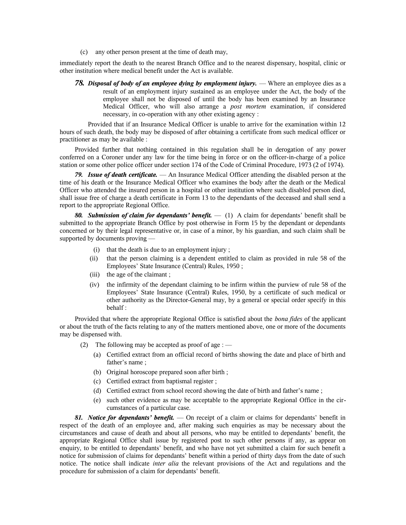(c) any other person present at the time of death may,

immediately report the death to the nearest Branch Office and to the nearest dispensary, hospital, clinic or other institution where medical benefit under the Act is available.

*78. Disposal of body of an employee dying by employment injury.* — Where an employee dies as a result of an employment injury sustained as an employee under the Act, the body of the employee shall not be disposed of until the body has been examined by an Insurance Medical Officer, who will also arrange a *post mortem* examination, if considered necessary, in co-operation with any other existing agency :

Provided that if an Insurance Medical Officer is unable to arrive for the examination within 12 hours of such death, the body may be disposed of after obtaining a certificate from such medical officer or practitioner as may be available :

Provided further that nothing contained in this regulation shall be in derogation of any power conferred on a Coroner under any law for the time being in force or on the officer-in-charge of a police station or some other police officer under section 174 of the Code of Criminal Procedure, 1973 (2 of 1974).

*79. Issue of death certificate.* — An Insurance Medical Officer attending the disabled person at the time of his death or the Insurance Medical Officer who examines the body after the death or the Medical Officer who attended the insured person in a hospital or other institution where such disabled person died, shall issue free of charge a death certificate in Form 13 to the dependants of the deceased and shall send a report to the appropriate Regional Office.

*80. Submission of claim for dependants' benefit.* — (1) A claim for dependants' benefit shall be submitted to the appropriate Branch Office by post otherwise in Form 15 by the dependant or dependants concerned or by their legal representative or, in case of a minor, by his guardian, and such claim shall be supported by documents proving —

- (i) that the death is due to an employment injury ;
- (ii) that the person claiming is a dependent entitled to claim as provided in rule 58 of the Employees' State Insurance (Central) Rules, 1950 ;
- (iii) the age of the claimant ;
- (iv) the infirmity of the dependant claiming to be infirm within the purview of rule 58 of the Employees' State Insurance (Central) Rules, 1950, by a certificate of such medical or other authority as the Director-General may, by a general or special order specify in this behalf :

Provided that where the appropriate Regional Office is satisfied about the *bona fides* of the applicant or about the truth of the facts relating to any of the matters mentioned above, one or more of the documents may be dispensed with.

- (2) The following may be accepted as proof of age :  $-$ 
	- (a) Certified extract from an official record of births showing the date and place of birth and father's name ;
	- (b) Original horoscope prepared soon after birth ;
	- (c) Certified extract from baptismal register ;
	- (d) Certified extract from school record showing the date of birth and father's name ;
	- (e) such other evidence as may be acceptable to the appropriate Regional Office in the circumstances of a particular case.

*81. Notice for dependants' benefit.* — On receipt of a claim or claims for dependants' benefit in respect of the death of an employee and, after making such enquiries as may be necessary about the circumstances and cause of death and about all persons, who may be entitled to dependants' benefit, the appropriate Regional Office shall issue by registered post to such other persons if any, as appear on enquiry, to be entitled to dependants' benefit, and who have not yet submitted a claim for such benefit a notice for submission of claims for dependants' benefit within a period of thirty days from the date of such notice. The notice shall indicate *inter alia* the relevant provisions of the Act and regulations and the procedure for submission of a claim for dependants' benefit.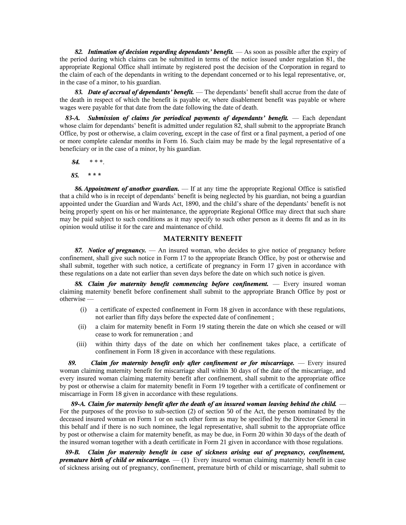*82. Intimation of decision regarding dependants' benefit.* — As soon as possible after the expiry of the period during which claims can be submitted in terms of the notice issued under regulation 81, the appropriate Regional Office shall intimate by registered post the decision of the Corporation in regard to the claim of each of the dependants in writing to the dependant concerned or to his legal representative, or, in the case of a minor, to his guardian.

*83. Date of accrual of dependants' benefit.* — The dependants' benefit shall accrue from the date of the death in respect of which the benefit is payable or, where disablement benefit was payable or where wages were payable for that date from the date following the date of death.

*83-A. Submission of claims for periodical payments of dependants' benefit.* — Each dependant whose claim for dependants' benefit is admitted under regulation 82, shall submit to the appropriate Branch Office, by post or otherwise, a claim covering, except in the case of first or a final payment, a period of one or more complete calendar months in Form 16. Such claim may be made by the legal representative of a beneficiary or in the case of a minor, by his guardian.

*84.* \* \* \*.

*85.* **\* \* \***

*86. Appointment of another guardian.* — If at any time the appropriate Regional Office is satisfied that a child who is in receipt of dependants' benefit is being neglected by his guardian, not being a guardian appointed under the Guardian and Wards Act, 1890, and the child's share of the dependants' benefit is not being properly spent on his or her maintenance, the appropriate Regional Office may direct that such share may be paid subject to such conditions as it may specify to such other person as it deems fit and as in its opinion would utilise it for the care and maintenance of child.

#### **MATERNITY BENEFIT**

*87. Notice of pregnancy.* — An insured woman, who decides to give notice of pregnancy before confinement, shall give such notice in Form 17 to the appropriate Branch Office, by post or otherwise and shall submit, together with such notice, a certificate of pregnancy in Form 17 given in accordance with these regulations on a date not earlier than seven days before the date on which such notice is given.

*88. Claim for maternity benefit commencing before confinement.* — Every insured woman claiming maternity benefit before confinement shall submit to the appropriate Branch Office by post or otherwise —

- (i) a certificate of expected confinement in Form 18 given in accordance with these regulations, not earlier than fifty days before the expected date of confinement ;
- (ii) a claim for maternity benefit in Form 19 stating therein the date on which she ceased or will cease to work for remuneration ; and
- (iii) within thirty days of the date on which her confinement takes place, a certificate of confinement in Form 18 given in accordance with these regulations.

*89. Claim for maternity benefit only after confinement or for miscarriage.* — Every insured woman claiming maternity benefit for miscarriage shall within 30 days of the date of the miscarriage, and every insured woman claiming maternity benefit after confinement, shall submit to the appropriate office by post or otherwise a claim for maternity benefit in Form 19 together with a certificate of confinement or miscarriage in Form 18 given in accordance with these regulations.

*89-A. Claim for maternity benefit after the death of an insured woman leaving behind the child.* — For the purposes of the proviso to sub-section (2) of section 50 of the Act, the person nominated by the deceased insured woman on Form 1 or on such other form as may be specified by the Director General in this behalf and if there is no such nominee, the legal representative, shall submit to the appropriate office by post or otherwise a claim for maternity benefit, as may be due, in Form 20 within 30 days of the death of the insured woman together with a death certificate in Form 21 given in accordance with those regulations.

*89-B. Claim for maternity benefit in case of sickness arising out of pregnancy, confinement, premature birth of child or miscarriage.* — (1) Every insured woman claiming maternity benefit in case of sickness arising out of pregnancy, confinement, premature birth of child or miscarriage, shall submit to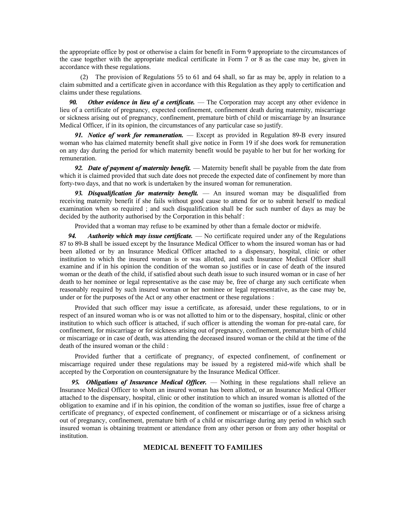the appropriate office by post or otherwise a claim for benefit in Form 9 appropriate to the circumstances of the case together with the appropriate medical certificate in Form 7 or 8 as the case may be, given in accordance with these regulations.

(2) The provision of Regulations 55 to 61 and 64 shall, so far as may be, apply in relation to a claim submitted and a certificate given in accordance with this Regulation as they apply to certification and claims under these regulations.

*90. Other evidence in lieu of a certificate.* — The Corporation may accept any other evidence in lieu of a certificate of pregnancy, expected confinement, confinement death during maternity, miscarriage or sickness arising out of pregnancy, confinement, premature birth of child or miscarriage by an Insurance Medical Officer, if in its opinion, the circumstances of any particular case so justify.

*91. Notice of work for remuneration.* — Except as provided in Regulation 89-B every insured woman who has claimed maternity benefit shall give notice in Form 19 if she does work for remuneration on any day during the period for which maternity benefit would be payable to her but for her working for remuneration.

*92. Date of payment of maternity benefit.* — Maternity benefit shall be payable from the date from which it is claimed provided that such date does not precede the expected date of confinement by more than forty-two days, and that no work is undertaken by the insured woman for remuneration.

*93. Disqualification for maternity benefit.* — An insured woman may be disqualified from receiving maternity benefit if she fails without good cause to attend for or to submit herself to medical examination when so required ; and such disqualification shall be for such number of days as may be decided by the authority authorised by the Corporation in this behalf :

Provided that a woman may refuse to be examined by other than a female doctor or midwife.

*94. Authority which may issue certificate.* — No certificate required under any of the Regulations 87 to 89-B shall be issued except by the Insurance Medical Officer to whom the insured woman has or had been allotted or by an Insurance Medical Officer attached to a dispensary, hospital, clinic or other institution to which the insured woman is or was allotted, and such Insurance Medical Officer shall examine and if in his opinion the condition of the woman so justifies or in case of death of the insured woman or the death of the child, if satisfied about such death issue to such insured woman or in case of her death to her nominee or legal representative as the case may be, free of charge any such certificate when reasonably required by such insured woman or her nominee or legal representative, as the case may be, under or for the purposes of the Act or any other enactment or these regulations :

Provided that such officer may issue a certificate, as aforesaid, under these regulations, to or in respect of an insured woman who is or was not allotted to him or to the dispensary, hospital, clinic or other institution to which such officer is attached, if such officer is attending the woman for pre-natal care, for confinement, for miscarriage or for sickness arising out of pregnancy, confinement, premature birth of child or miscarriage or in case of death, was attending the deceased insured woman or the child at the time of the death of the insured woman or the child :

Provided further that a certificate of pregnancy, of expected confinement, of confinement or miscarriage required under these regulations may be issued by a registered mid-wife which shall be accepted by the Corporation on countersignature by the Insurance Medical Officer.

*95. Obligations of Insurance Medical Officer.* — Nothing in these regulations shall relieve an Insurance Medical Officer to whom an insured woman has been allotted, or an Insurance Medical Officer attached to the dispensary, hospital, clinic or other institution to which an insured woman is allotted of the obligation to examine and if in his opinion, the condition of the woman so justifies, issue free of charge a certificate of pregnancy, of expected confinement, of confinement or miscarriage or of a sickness arising out of pregnancy, confinement, premature birth of a child or miscarriage during any period in which such insured woman is obtaining treatment or attendance from any other person or from any other hospital or institution.

#### **MEDICAL BENEFIT TO FAMILIES**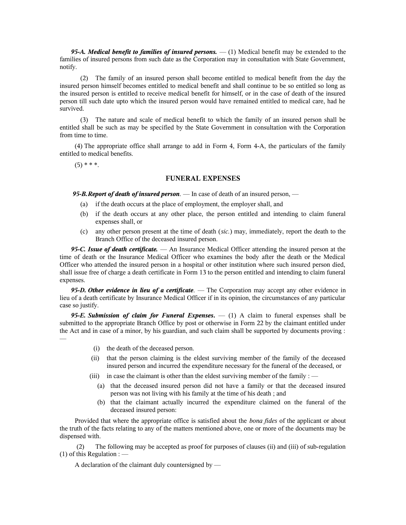*95-A. Medical benefit to families of insured persons.* — (1) Medical benefit may be extended to the families of insured persons from such date as the Corporation may in consultation with State Government, notify.

(2) The family of an insured person shall become entitled to medical benefit from the day the insured person himself becomes entitled to medical benefit and shall continue to be so entitled so long as the insured person is entitled to receive medical benefit for himself, or in the case of death of the insured person till such date upto which the insured person would have remained entitled to medical care, had he survived.

(3) The nature and scale of medical benefit to which the family of an insured person shall be entitled shall be such as may be specified by the State Government in consultation with the Corporation from time to time.

(4) The appropriate office shall arrange to add in Form 4, Form 4-A, the particulars of the family entitled to medical benefits.

 $(5)$  \* \* \*.

#### **FUNERAL EXPENSES**

 *95-B.Report of death of insured person.* — In case of death of an insured person, —

- (a) if the death occurs at the place of employment, the employer shall, and
- (b) if the death occurs at any other place, the person entitled and intending to claim funeral expenses shall, or
- (c) any other person present at the time of death (*sic.*) may, immediately, report the death to the Branch Office of the deceased insured person.

*95-C. Issue of death certificate.* — An Insurance Medical Officer attending the insured person at the time of death or the Insurance Medical Officer who examines the body after the death or the Medical Officer who attended the insured person in a hospital or other institution where such insured person died, shall issue free of charge a death certificate in Form 13 to the person entitled and intending to claim funeral expenses.

*95-D. Other evidence in lieu of a certificate.* — The Corporation may accept any other evidence in lieu of a death certificate by Insurance Medical Officer if in its opinion, the circumstances of any particular case so justify.

*95-E. Submission of claim for Funeral Expenses***.** — (1) A claim to funeral expenses shall be submitted to the appropriate Branch Office by post or otherwise in Form 22 by the claimant entitled under the Act and in case of a minor, by his guardian, and such claim shall be supported by documents proving : —

- (i) the death of the deceased person.
- (ii) that the person claiming is the eldest surviving member of the family of the deceased insured person and incurred the expenditure necessary for the funeral of the deceased, or
- (iii) in case the claimant is other than the eldest surviving member of the family :  $-$ 
	- (a) that the deceased insured person did not have a family or that the deceased insured person was not living with his family at the time of his death ; and
	- (b) that the claimant actually incurred the expenditure claimed on the funeral of the deceased insured person:

Provided that where the appropriate office is satisfied about the *bona fides* of the applicant or about the truth of the facts relating to any of the matters mentioned above, one or more of the documents may be dispensed with.

(2) The following may be accepted as proof for purposes of clauses (ii) and (iii) of sub-regulation (1) of this Regulation :  $-$ 

A declaration of the claimant duly countersigned by —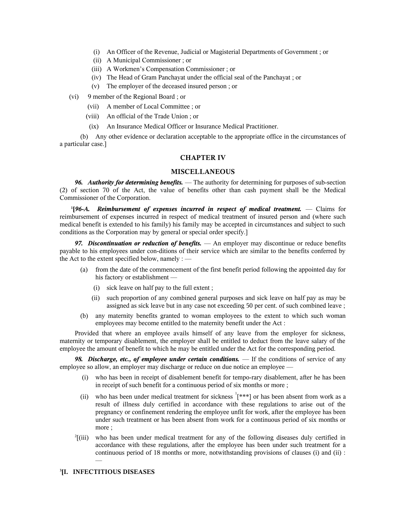- (i) An Officer of the Revenue, Judicial or Magisterial Departments of Government ; or
- (ii) A Municipal Commissioner ; or
- (iii) A Workmen's Compensation Commissioner ; or
- (iv) The Head of Gram Panchayat under the official seal of the Panchayat ; or
- (v) The employer of the deceased insured person ; or
- (vi) 9 member of the Regional Board ; or
	- (vii) A member of Local Committee ; or
	- (viii) An official of the Trade Union ; or
	- (ix) An Insurance Medical Officer or Insurance Medical Practitioner.

(b) Any other evidence or declaration acceptable to the appropriate office in the circumstances of a particular case.]

#### **CHAPTER IV**

### **MISCELLANEOUS**

*96. Authority for determining benefits.* — The authority for determining for purposes of sub-section (2) of section 70 of the Act, the value of benefits other than cash payment shall be the Medical Commissioner of the Corporation.

**1 [***96-A. Reimbursement of expenses incurred in respect of medical treatment.* — Claims for reimbursement of expenses incurred in respect of medical treatment of insured person and (where such medical benefit is extended to his family) his family may be accepted in circumstances and subject to such conditions as the Corporation may by general or special order specify.]

*97. Discontinuation or reduction of benefits.* — An employer may discontinue or reduce benefits payable to his employees under con-ditions of their service which are similar to the benefits conferred by the Act to the extent specified below, namely  $:$   $-$ 

- (a) from the date of the commencement of the first benefit period following the appointed day for his factory or establishment —
	- (i) sick leave on half pay to the full extent ;
	- (ii) such proportion of any combined general purposes and sick leave on half pay as may be assigned as sick leave but in any case not exceeding 50 per cent. of such combined leave ;
- (b) any maternity benefits granted to woman employees to the extent to which such woman employees may become entitled to the maternity benefit under the Act :

Provided that where an employee avails himself of any leave from the employer for sickness, maternity or temporary disablement, the employer shall be entitled to deduct from the leave salary of the employee the amount of benefit to which he may be entitled under the Act for the corresponding period.

*98. Discharge, etc., of employee under certain conditions.* — If the conditions of service of any employee so allow, an employer may discharge or reduce on due notice an employee —

- (i) who has been in receipt of disablement benefit for tempo-rary disablement, after he has been in receipt of such benefit for a continuous period of six months or more ;
- (ii) who has been under medical treatment for sickness  $\frac{1}{s^*}$  or has been absent from work as a result of illness duly certified in accordance with these regulations to arise out of the pregnancy or confinement rendering the employee unfit for work, after the employee has been under such treatment or has been absent from work for a continuous period of six months or more ;
- 2 [(iii) who has been under medical treatment for any of the following diseases duly certified in accordance with these regulations, after the employee has been under such treatment for a continuous period of 18 months or more, notwithstanding provisions of clauses (i) and (ii) : —

#### **3 [I. INFECTITIOUS DISEASES**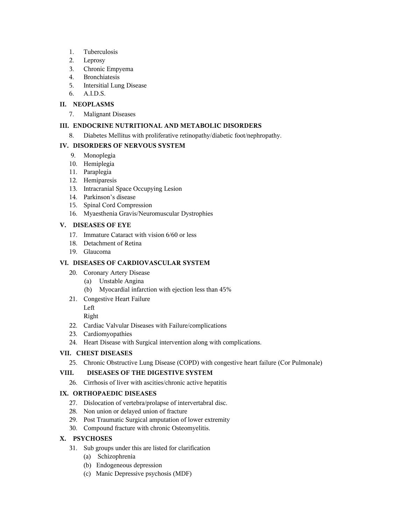- 1. Tuberculosis
- 2. Leprosy
- 3. Chronic Empyema
- 4. Bronchiatesis
- 5. Intersitial Lung Disease
- 6. A.I.D.S.

# **II. NEOPLASMS**

7. Malignant Diseases

# **III. ENDOCRINE NUTRITIONAL AND METABOLIC DISORDERS**

8. Diabetes Mellitus with proliferative retinopathy/diabetic foot/nephropathy.

# **IV. DISORDERS OF NERVOUS SYSTEM**

- 9. Monoplegia
- 10. Hemiplegia
- 11. Paraplegia
- 12. Hemiparesis
- 13. Intracranial Space Occupying Lesion
- 14. Parkinson's disease
- 15. Spinal Cord Compression
- 16. Myaesthenia Gravis/Neuromuscular Dystrophies

# **V. DISEASES OF EYE**

- 17. Immature Cataract with vision 6/60 or less
- 18. Detachment of Retina
- 19. Glaucoma

# **VI. DISEASES OF CARDIOVASCULAR SYSTEM**

- 20. Coronary Artery Disease
	- (a) Unstable Angina
	- (b) Myocardial infarction with ejection less than 45%
- 21. Congestive Heart Failure

Left

# Right

- 22. Cardiac Valvular Diseases with Failure/complications
- 23. Cardiomyopathies
- 24. Heart Disease with Surgical intervention along with complications.

# **VII. CHEST DISEASES**

25. Chronic Obstructive Lung Disease (COPD) with congestive heart failure (Cor Pulmonale)

# **VIII. DISEASES OF THE DIGESTIVE SYSTEM**

26. Cirrhosis of liver with ascities/chronic active hepatitis

## **IX. ORTHOPAEDIC DISEASES**

- 27. Dislocation of vertebra/prolapse of intervertabral disc.
- 28. Non union or delayed union of fracture
- 29. Post Traumatic Surgical amputation of lower extremity
- 30. Compound fracture with chronic Osteomyelitis.

# **X. PSYCHOSES**

- 31. Sub groups under this are listed for clarification
	- (a) Schizophrenia
	- (b) Endogeneous depression
	- (c) Manic Depressive psychosis (MDF)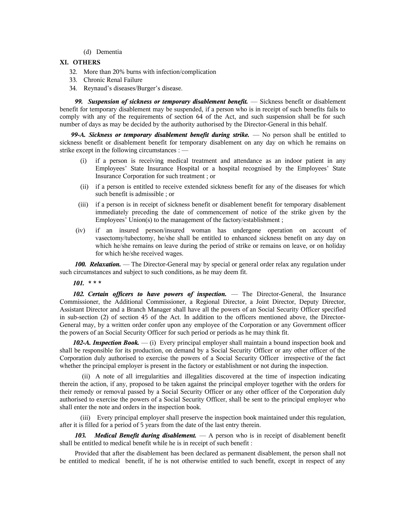(d) Dementia

### **XI. OTHERS**

- 32. More than 20% burns with infection/complication
- 33. Chronic Renal Failure
- 34. Reynaud's diseases/Burger's disease.

*99. Suspension of sickness or temporary disablement benefit.* — Sickness benefit or disablement benefit for temporary disablement may be suspended, if a person who is in receipt of such benefits fails to comply with any of the requirements of section 64 of the Act, and such suspension shall be for such number of days as may be decided by the authority authorised by the Director-General in this behalf.

*99-A. Sickness or temporary disablement benefit during strike.* — No person shall be entitled to sickness benefit or disablement benefit for temporary disablement on any day on which he remains on strike except in the following circumstances : —

- (i) if a person is receiving medical treatment and attendance as an indoor patient in any Employees' State Insurance Hospital or a hospital recognised by the Employees' State Insurance Corporation for such treatment ; or
- (ii) if a person is entitled to receive extended sickness benefit for any of the diseases for which such benefit is admissible ; or
- (iii) if a person is in receipt of sickness benefit or disablement benefit for temporary disablement immediately preceding the date of commencement of notice of the strike given by the Employees' Union(s) to the management of the factory/establishment ;
- (iv) if an insured person/insured woman has undergone operation on account of vasectomy/tubectomy, he/she shall be entitled to enhanced sickness benefit on any day on which he/she remains on leave during the period of strike or remains on leave, or on holiday for which he/she received wages.

*100. Relaxation.* — The Director-General may by special or general order relax any regulation under such circumstances and subject to such conditions, as he may deem fit.

*101. \* \* \**

*102. Certain officers to have powers of inspection.* — The Director-General, the Insurance Commissioner, the Additional Commissioner, a Regional Director, a Joint Director, Deputy Director, Assistant Director and a Branch Manager shall have all the powers of an Social Security Officer specified in sub-section (2) of section 45 of the Act. In addition to the officers mentioned above, the Director-General may, by a written order confer upon any employee of the Corporation or any Government officer the powers of an Social Security Officer for such period or periods as he may think fit.

*102-A. Inspection Book.* — (i) Every principal employer shall maintain a bound inspection book and shall be responsible for its production, on demand by a Social Security Officer or any other officer of the Corporation duly authorised to exercise the powers of a Social Security Officer irrespective of the fact whether the principal employer is present in the factory or establishment or not during the inspection.

 (ii) A note of all irregularities and illegalities discovered at the time of inspection indicating therein the action, if any, proposed to be taken against the principal employer together with the orders for their remedy or removal passed by a Social Security Officer or any other officer of the Corporation duly authorised to exercise the powers of a Social Security Officer, shall be sent to the principal employer who shall enter the note and orders in the inspection book.

(iii) Every principal employer shall preserve the inspection book maintained under this regulation, after it is filled for a period of 5 years from the date of the last entry therein.

*103. Medical Benefit during disablement.* — A person who is in receipt of disablement benefit shall be entitled to medical benefit while he is in receipt of such benefit :

Provided that after the disablement has been declared as permanent disablement, the person shall not be entitled to medical benefit, if he is not otherwise entitled to such benefit, except in respect of any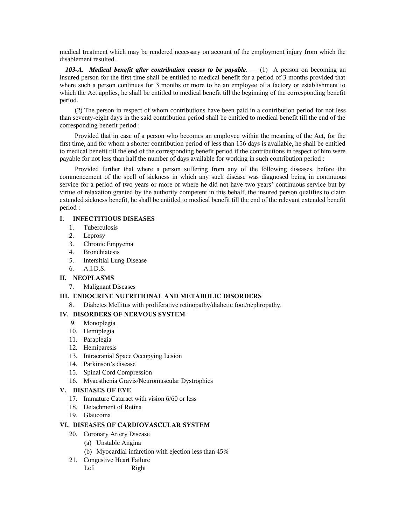medical treatment which may be rendered necessary on account of the employment injury from which the disablement resulted.

*103-A. Medical benefit after contribution ceases to be payable.* $- (1)$  **A person on becoming an** insured person for the first time shall be entitled to medical benefit for a period of 3 months provided that where such a person continues for 3 months or more to be an employee of a factory or establishment to which the Act applies, he shall be entitled to medical benefit till the beginning of the corresponding benefit period.

(2) The person in respect of whom contributions have been paid in a contribution period for not less than seventy-eight days in the said contribution period shall be entitled to medical benefit till the end of the corresponding benefit period :

Provided that in case of a person who becomes an employee within the meaning of the Act, for the first time, and for whom a shorter contribution period of less than 156 days is available, he shall be entitled to medical benefit till the end of the corresponding benefit period if the contributions in respect of him were payable for not less than half the number of days available for working in such contribution period :

Provided further that where a person suffering from any of the following diseases, before the commencement of the spell of sickness in which any such disease was diagnosed being in continuous service for a period of two years or more or where he did not have two years' continuous service but by virtue of relaxation granted by the authority competent in this behalf, the insured person qualifies to claim extended sickness benefit, he shall be entitled to medical benefit till the end of the relevant extended benefit period :

## **I. INFECTITIOUS DISEASES**

- 1. Tuberculosis
- 2. Leprosy
- 3. Chronic Empyema
- 4. Bronchiatesis
- 5. Intersitial Lung Disease
- 6. A.I.D.S.
- **II. NEOPLASMS**
	- 7. Malignant Diseases

## **III. ENDOCRINE NUTRITIONAL AND METABOLIC DISORDERS**

8. Diabetes Mellitus with proliferative retinopathy/diabetic foot/nephropathy.

## **IV. DISORDERS OF NERVOUS SYSTEM**

- 9. Monoplegia
- 10. Hemiplegia
- 11. Paraplegia
- 12. Hemiparesis
- 13. Intracranial Space Occupying Lesion
- 14. Parkinson's disease
- 15. Spinal Cord Compression
- 16. Myaesthenia Gravis/Neuromuscular Dystrophies

### **V. DISEASES OF EYE**

- 17. Immature Cataract with vision 6/60 or less
- 18. Detachment of Retina
- 19. Glaucoma

#### **VI. DISEASES OF CARDIOVASCULAR SYSTEM**

- 20. Coronary Artery Disease
	- (a) Unstable Angina
	- (b) Myocardial infarction with ejection less than 45%
- 21. Congestive Heart Failure
	- Left Right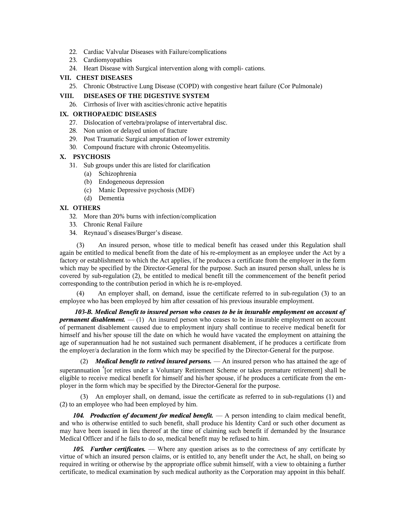- 22. Cardiac Valvular Diseases with Failure/complications
- 23. Cardiomyopathies
- 24. Heart Disease with Surgical intervention along with compli- cations.

# **VII. CHEST DISEASES**

25. Chronic Obstructive Lung Disease (COPD) with congestive heart failure (Cor Pulmonale)

# **VIII. DISEASES OF THE DIGESTIVE SYSTEM**

26. Cirrhosis of liver with ascities/chronic active hepatitis

# **IX. ORTHOPAEDIC DISEASES**

- 27. Dislocation of vertebra/prolapse of intervertabral disc.
- 28. Non union or delayed union of fracture
- 29. Post Traumatic Surgical amputation of lower extremity
- 30. Compound fracture with chronic Osteomyelitis.

# **X. PSYCHOSIS**

- 31. Sub groups under this are listed for clarification
	- (a) Schizophrenia
	- (b) Endogeneous depression
	- (c) Manic Depressive psychosis (MDF)
	- (d) Dementia

# **XI. OTHERS**

- 32. More than 20% burns with infection/complication
- 33. Chronic Renal Failure
- 34. Reynaud's diseases/Burger's disease.

(3) An insured person, whose title to medical benefit has ceased under this Regulation shall again be entitled to medical benefit from the date of his re-employment as an employee under the Act by a factory or establishment to which the Act applies, if he produces a certificate from the employer in the form which may be specified by the Director-General for the purpose. Such an insured person shall, unless he is covered by sub-regulation (2), be entitled to medical benefit till the commencement of the benefit period corresponding to the contribution period in which he is re-employed.

(4) An employer shall, on demand, issue the certificate referred to in sub-regulation (3) to an employee who has been employed by him after cessation of his previous insurable employment.

*103-B. Medical Benefit to insured person who ceases to be in insurable employment on account of permanent disablement.* — (1) An insured person who ceases to be in insurable employment on account of permanent disablement caused due to employment injury shall continue to receive medical benefit for himself and his/her spouse till the date on which he would have vacated the employment on attaining the age of superannuation had he not sustained such permanent disablement, if he produces a certificate from the employer/a declaration in the form which may be specified by the Director-General for the purpose.

(2) *Medical benefit to retired insured persons.* — An insured person who has attained the age of superannuation <sup>4</sup>[or retires under a Voluntary Retirement Scheme or takes premature retirement] shall be eligible to receive medical benefit for himself and his/her spouse, if he produces a certificate from the employer in the form which may be specified by the Director-General for the purpose.

(3) An employer shall, on demand, issue the certificate as referred to in sub-regulations (1) and (2) to an employee who had been employed by him.

*104. Production of document for medical benefit.* — A person intending to claim medical benefit, and who is otherwise entitled to such benefit, shall produce his Identity Card or such other document as may have been issued in lieu thereof at the time of claiming such benefit if demanded by the Insurance Medical Officer and if he fails to do so, medical benefit may be refused to him.

105. Further certificates. — Where any question arises as to the correctness of any certificate by virtue of which an insured person claims, or is entitled to, any benefit under the Act, he shall, on being so required in writing or otherwise by the appropriate office submit himself, with a view to obtaining a further certificate, to medical examination by such medical authority as the Corporation may appoint in this behalf.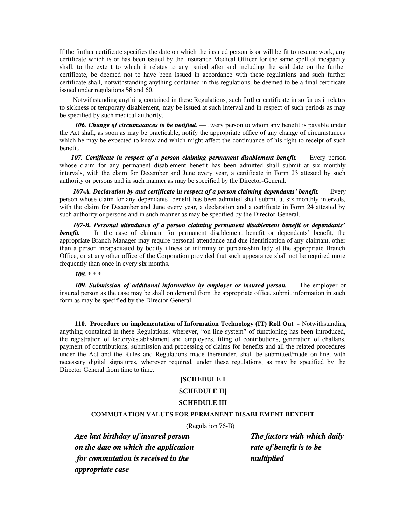If the further certificate specifies the date on which the insured person is or will be fit to resume work, any certificate which is or has been issued by the Insurance Medical Officer for the same spell of incapacity shall, to the extent to which it relates to any period after and including the said date on the further certificate, be deemed not to have been issued in accordance with these regulations and such further certificate shall, notwithstanding anything contained in this regulations, be deemed to be a final certificate issued under regulations 58 and 60.

Notwithstanding anything contained in these Regulations, such further certificate in so far as it relates to sickness or temporary disablement, may be issued at such interval and in respect of such periods as may be specified by such medical authority.

*106. Change of circumstances to be notified.* — Every person to whom any benefit is payable under the Act shall, as soon as may be practicable, notify the appropriate office of any change of circumstances which he may be expected to know and which might affect the continuance of his right to receipt of such benefit.

*107. Certificate in respect of a person claiming permanent disablement benefit.* — Every person whose claim for any permanent disablement benefit has been admitted shall submit at six monthly intervals, with the claim for December and June every year, a certificate in Form 23 attested by such authority or persons and in such manner as may be specified by the Director-General.

*107-A. Declaration by and certificate in respect of a person claiming dependants' benefit.* — Every person whose claim for any dependants' benefit has been admitted shall submit at six monthly intervals, with the claim for December and June every year, a declaration and a certificate in Form 24 attested by such authority or persons and in such manner as may be specified by the Director-General.

*107-B. Personal attendance of a person claiming permanent disablement benefit or dependants'* **benefit.** — In the case of claimant for permanent disablement benefit or dependants' benefit, the appropriate Branch Manager may require personal attendance and due identification of any claimant, other than a person incapacitated by bodily illness or infirmity or purdanashin lady at the appropriate Branch Office, or at any other office of the Corporation provided that such appearance shall not be required more frequently than once in every six months.

*108.* \* \* \*

*109. Submission of additional information by employer or insured person.* — The employer or insured person as the case may be shall on demand from the appropriate office, submit information in such form as may be specified by the Director-General.

**110. Procedure on implementation of Information Technology (IT) Roll Out -** Notwithstanding anything contained in these Regulations, wherever, "on-line system" of functioning has been introduced, the registration of factory/establishment and employees, filing of contributions, generation of challans, payment of contributions, submission and processing of claims for benefits and all the related procedures under the Act and the Rules and Regulations made thereunder, shall be submitted/made on-line, with necessary digital signatures, wherever required, under these regulations, as may be specified by the Director General from time to time.

#### **[SCHEDULE I**

### **SCHEDULE II]**

#### **SCHEDULE III**

#### **COMMUTATION VALUES FOR PERMANENT DISABLEMENT BENEFIT**

(Regulation 76-B)

*Age last birthday of insured person The factors with which daily on the date on which the application rate of benefit is to be for commutation is received in the multiplied appropriate case*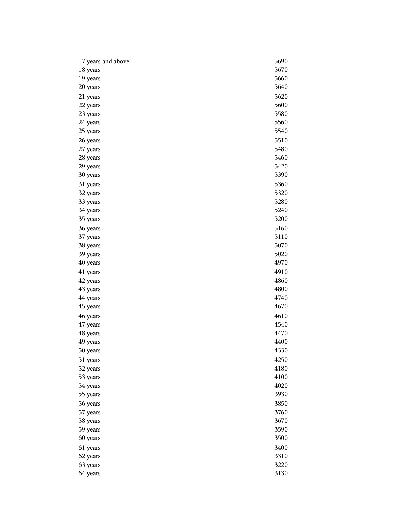| 17 years and above | 5690 |
|--------------------|------|
| 18 years           | 5670 |
| 19 years           | 5660 |
| 20 years           | 5640 |
| 21 years           | 5620 |
| 22 years           | 5600 |
| 23 years           | 5580 |
| 24 years           | 5560 |
| 25 years           | 5540 |
| 26 years           | 5510 |
| 27 years           | 5480 |
| 28 years           | 5460 |
| 29 years           | 5420 |
| 30 years           | 5390 |
| 31 years           | 5360 |
| 32 years           | 5320 |
| 33 years           | 5280 |
| 34 years           | 5240 |
| 35 years           | 5200 |
| 36 years           | 5160 |
| 37 years           | 5110 |
| 38 years           | 5070 |
| 39 years           | 5020 |
| 40 years           | 4970 |
| 41 years           | 4910 |
| 42 years           | 4860 |
| 43 years           | 4800 |
| 44 years           | 4740 |
| 45 years           | 4670 |
| 46 years           | 4610 |
| 47 years           | 4540 |
| 48 years           | 4470 |
| 49 years           | 4400 |
| 50 years           | 4330 |
| 51 years           | 4250 |
| 52 years           | 4180 |
| 53 years           | 4100 |
| 54 years           | 4020 |
| 55 years           | 3930 |
| 56 years           | 3850 |
| 57 years           | 3760 |
| 58 years           | 3670 |
| 59 years           | 3590 |
| 60 years           | 3500 |
| 61 years           | 3400 |
| 62 years           | 3310 |
| 63 years           | 3220 |
| 64 years           | 3130 |
|                    |      |